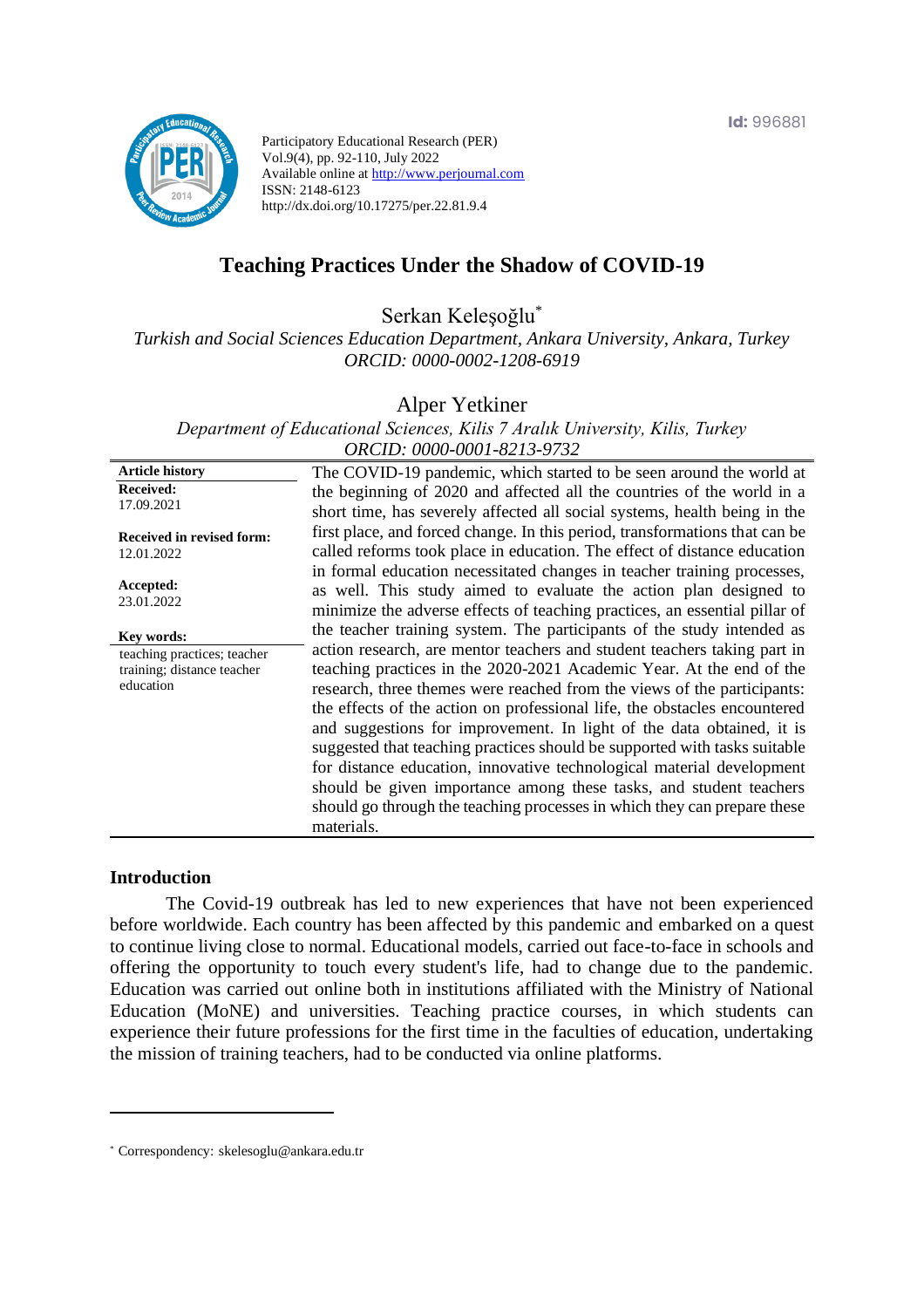

Participatory Educational Research (PER) Vol.9(4), pp. 92-110, July 2022 Available online at http://www.perjournal.com ISSN: 2148-6123 http://dx.doi.org/10.17275/per.22.81.9.4

# **Teaching Practices Under the Shadow of COVID-19**

Serkan Keleşoğlu\*

*Turkish and Social Sciences Education Department, Ankara University, Ankara, Turkey ORCID: 0000-0002-1208-6919*

Alper Yetkiner

*Department of Educational Sciences, Kilis 7 Aralık University, Kilis, Turkey ORCID: 0000-0001-8213-9732*

| <b>Article history</b>                                    | The COVID-19 pandemic, which started to be seen around the world at                                                                                     |
|-----------------------------------------------------------|---------------------------------------------------------------------------------------------------------------------------------------------------------|
| <b>Received:</b>                                          | the beginning of 2020 and affected all the countries of the world in a                                                                                  |
| 17.09.2021                                                | short time, has severely affected all social systems, health being in the                                                                               |
| <b>Received in revised form:</b><br>12.01.2022            | first place, and forced change. In this period, transformations that can be<br>called reforms took place in education. The effect of distance education |
| Accepted:                                                 | in formal education necessitated changes in teacher training processes,<br>as well. This study aimed to evaluate the action plan designed to            |
| 23.01.2022                                                | minimize the adverse effects of teaching practices, an essential pillar of                                                                              |
| Key words:                                                | the teacher training system. The participants of the study intended as                                                                                  |
| teaching practices; teacher<br>training; distance teacher | action research, are mentor teachers and student teachers taking part in<br>teaching practices in the 2020-2021 Academic Year. At the end of the        |
| education                                                 | research, three themes were reached from the views of the participants:                                                                                 |
|                                                           | the effects of the action on professional life, the obstacles encountered                                                                               |
|                                                           | and suggestions for improvement. In light of the data obtained, it is                                                                                   |
|                                                           | suggested that teaching practices should be supported with tasks suitable                                                                               |
|                                                           | for distance education, innovative technological material development                                                                                   |
|                                                           | should be given importance among these tasks, and student teachers                                                                                      |
|                                                           | should go through the teaching processes in which they can prepare these                                                                                |
|                                                           | materials.                                                                                                                                              |

#### **Introduction**

The Covid-19 outbreak has led to new experiences that have not been experienced before worldwide. Each country has been affected by this pandemic and embarked on a quest to continue living close to normal. Educational models, carried out face-to-face in schools and offering the opportunity to touch every student's life, had to change due to the pandemic. Education was carried out online both in institutions affiliated with the Ministry of National Education (MoNE) and universities. Teaching practice courses, in which students can experience their future professions for the first time in the faculties of education, undertaking the mission of training teachers, had to be conducted via online platforms.

<sup>\*</sup> [Correspondency:](mailto:Correspondency:) skelesoglu@ankara.edu.tr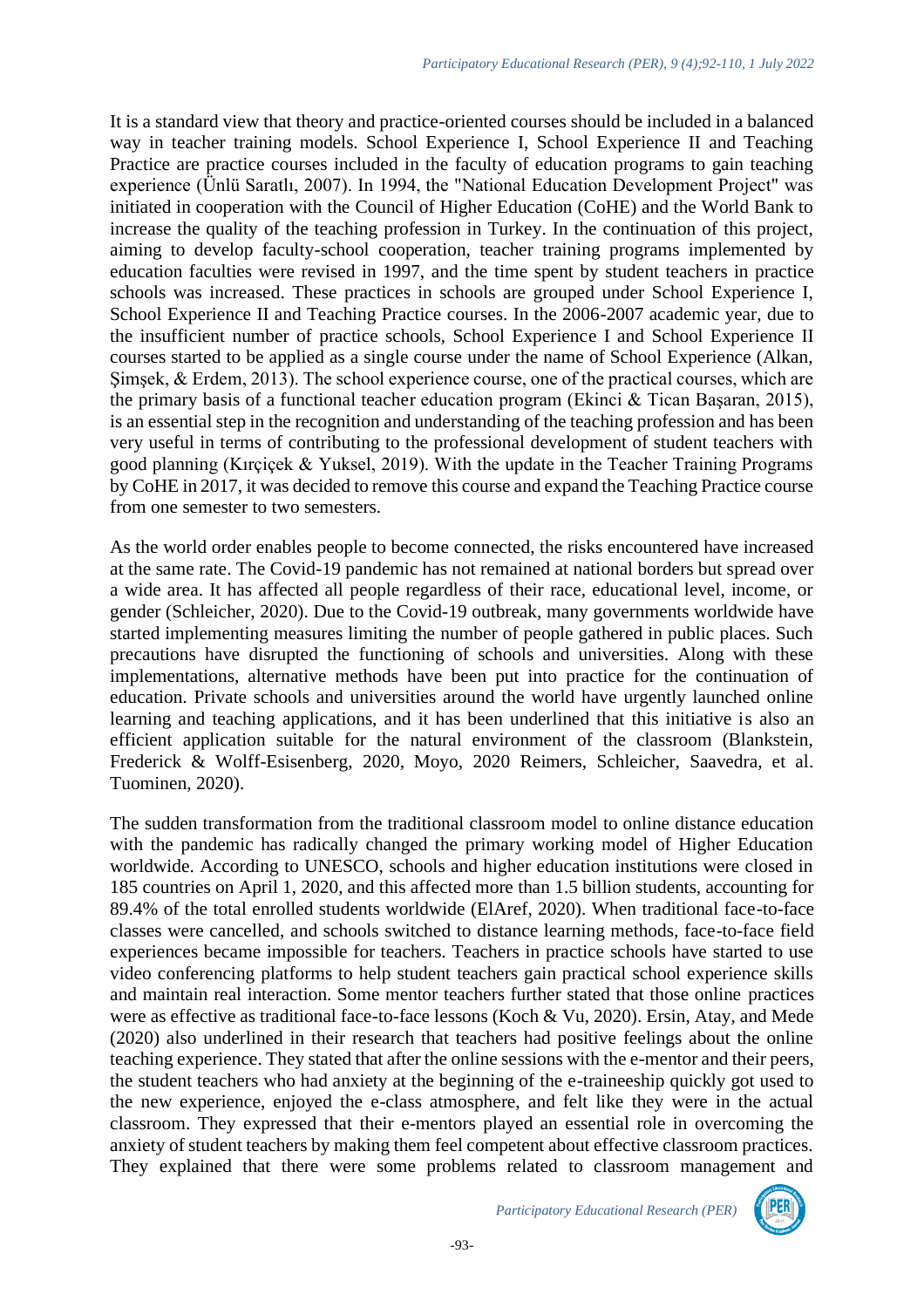It is a standard view that theory and practice-oriented courses should be included in a balanced way in teacher training models. School Experience I, School Experience II and Teaching Practice are practice courses included in the faculty of education programs to gain teaching experience (Ünlü Saratlı, 2007). In 1994, the "National Education Development Project" was initiated in cooperation with the Council of Higher Education (CoHE) and the World Bank to increase the quality of the teaching profession in Turkey. In the continuation of this project, aiming to develop faculty-school cooperation, teacher training programs implemented by education faculties were revised in 1997, and the time spent by student teachers in practice schools was increased. These practices in schools are grouped under School Experience I, School Experience II and Teaching Practice courses. In the 2006-2007 academic year, due to the insufficient number of practice schools, School Experience I and School Experience II courses started to be applied as a single course under the name of School Experience (Alkan, Şimşek, & Erdem, 2013). The school experience course, one of the practical courses, which are the primary basis of a functional teacher education program (Ekinci & Tican Başaran, 2015), is an essential step in the recognition and understanding of the teaching profession and has been very useful in terms of contributing to the professional development of student teachers with good planning (Kırçiçek & Yuksel, 2019). With the update in the Teacher Training Programs by CoHE in 2017, it was decided to remove this course and expand the Teaching Practice course from one semester to two semesters.

As the world order enables people to become connected, the risks encountered have increased at the same rate. The Covid-19 pandemic has not remained at national borders but spread over a wide area. It has affected all people regardless of their race, educational level, income, or gender (Schleicher, 2020). Due to the Covid-19 outbreak, many governments worldwide have started implementing measures limiting the number of people gathered in public places. Such precautions have disrupted the functioning of schools and universities. Along with these implementations, alternative methods have been put into practice for the continuation of education. Private schools and universities around the world have urgently launched online learning and teaching applications, and it has been underlined that this initiative is also an efficient application suitable for the natural environment of the classroom (Blankstein, Frederick & Wolff-Esisenberg, 2020, Moyo, 2020 Reimers, Schleicher, Saavedra, et al. Tuominen, 2020).

The sudden transformation from the traditional classroom model to online distance education with the pandemic has radically changed the primary working model of Higher Education worldwide. According to UNESCO, schools and higher education institutions were closed in 185 countries on April 1, 2020, and this affected more than 1.5 billion students, accounting for 89.4% of the total enrolled students worldwide (ElAref, 2020). When traditional face-to-face classes were cancelled, and schools switched to distance learning methods, face-to-face field experiences became impossible for teachers. Teachers in practice schools have started to use video conferencing platforms to help student teachers gain practical school experience skills and maintain real interaction. Some mentor teachers further stated that those online practices were as effective as traditional face-to-face lessons (Koch & Vu, 2020). Ersin, Atay, and Mede (2020) also underlined in their research that teachers had positive feelings about the online teaching experience. They stated that after the online sessions with the e-mentor and their peers, the student teachers who had anxiety at the beginning of the e-traineeship quickly got used to the new experience, enjoyed the e-class atmosphere, and felt like they were in the actual classroom. They expressed that their e-mentors played an essential role in overcoming the anxiety of student teachers by making them feel competent about effective classroom practices. They explained that there were some problems related to classroom management and

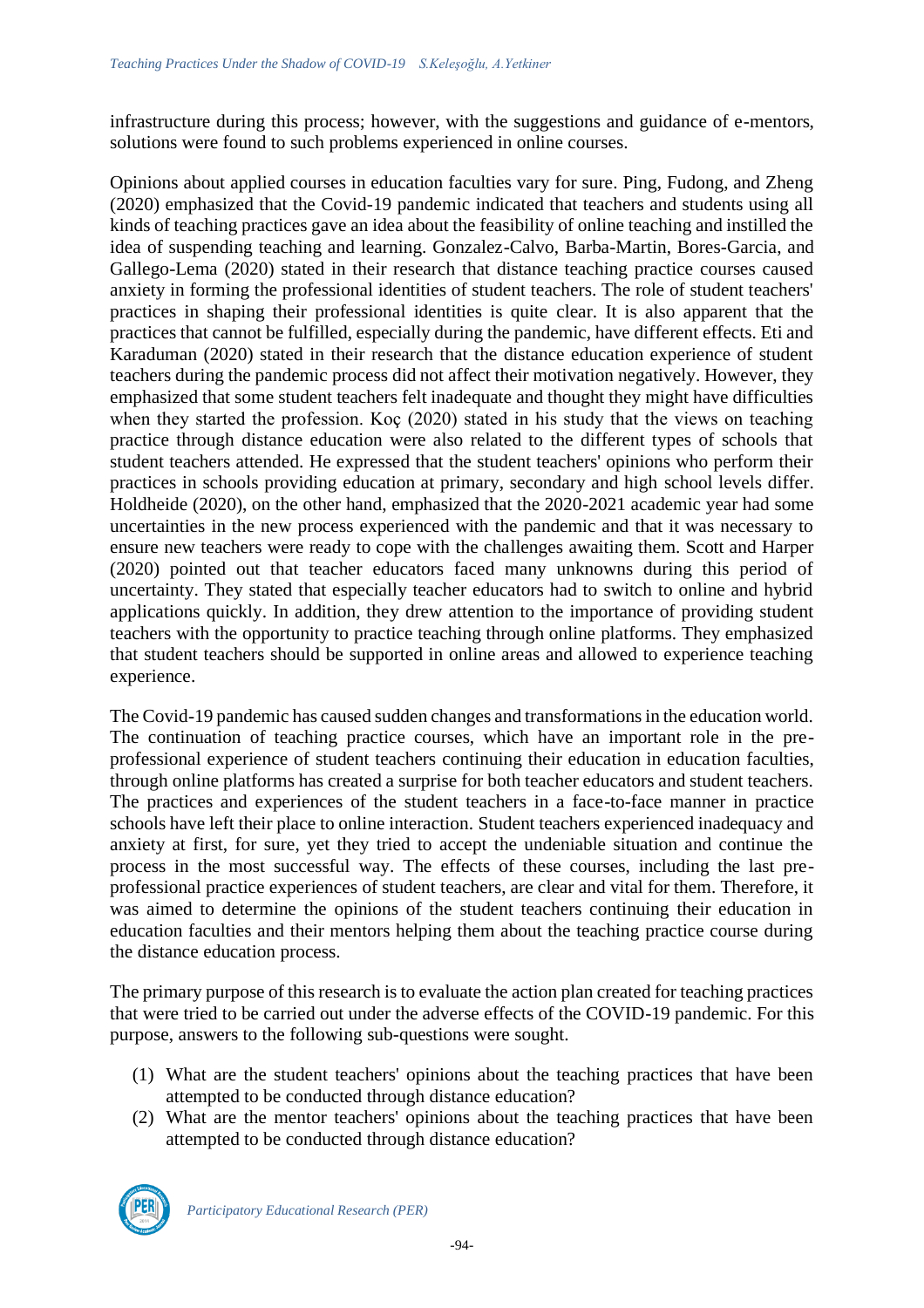infrastructure during this process; however, with the suggestions and guidance of e-mentors, solutions were found to such problems experienced in online courses.

Opinions about applied courses in education faculties vary for sure. Ping, Fudong, and Zheng (2020) emphasized that the Covid-19 pandemic indicated that teachers and students using all kinds of teaching practices gave an idea about the feasibility of online teaching and instilled the idea of suspending teaching and learning. Gonzalez-Calvo, Barba-Martin, Bores-Garcia, and Gallego-Lema (2020) stated in their research that distance teaching practice courses caused anxiety in forming the professional identities of student teachers. The role of student teachers' practices in shaping their professional identities is quite clear. It is also apparent that the practices that cannot be fulfilled, especially during the pandemic, have different effects. Eti and Karaduman (2020) stated in their research that the distance education experience of student teachers during the pandemic process did not affect their motivation negatively. However, they emphasized that some student teachers felt inadequate and thought they might have difficulties when they started the profession. Koç (2020) stated in his study that the views on teaching practice through distance education were also related to the different types of schools that student teachers attended. He expressed that the student teachers' opinions who perform their practices in schools providing education at primary, secondary and high school levels differ. Holdheide (2020), on the other hand, emphasized that the 2020-2021 academic year had some uncertainties in the new process experienced with the pandemic and that it was necessary to ensure new teachers were ready to cope with the challenges awaiting them. Scott and Harper (2020) pointed out that teacher educators faced many unknowns during this period of uncertainty. They stated that especially teacher educators had to switch to online and hybrid applications quickly. In addition, they drew attention to the importance of providing student teachers with the opportunity to practice teaching through online platforms. They emphasized that student teachers should be supported in online areas and allowed to experience teaching experience.

The Covid-19 pandemic has caused sudden changes and transformations in the education world. The continuation of teaching practice courses, which have an important role in the preprofessional experience of student teachers continuing their education in education faculties, through online platforms has created a surprise for both teacher educators and student teachers. The practices and experiences of the student teachers in a face-to-face manner in practice schools have left their place to online interaction. Student teachers experienced inadequacy and anxiety at first, for sure, yet they tried to accept the undeniable situation and continue the process in the most successful way. The effects of these courses, including the last preprofessional practice experiences of student teachers, are clear and vital for them. Therefore, it was aimed to determine the opinions of the student teachers continuing their education in education faculties and their mentors helping them about the teaching practice course during the distance education process.

The primary purpose of this research is to evaluate the action plan created for teaching practices that were tried to be carried out under the adverse effects of the COVID-19 pandemic. For this purpose, answers to the following sub-questions were sought.

- (1) What are the student teachers' opinions about the teaching practices that have been attempted to be conducted through distance education?
- (2) What are the mentor teachers' opinions about the teaching practices that have been attempted to be conducted through distance education?

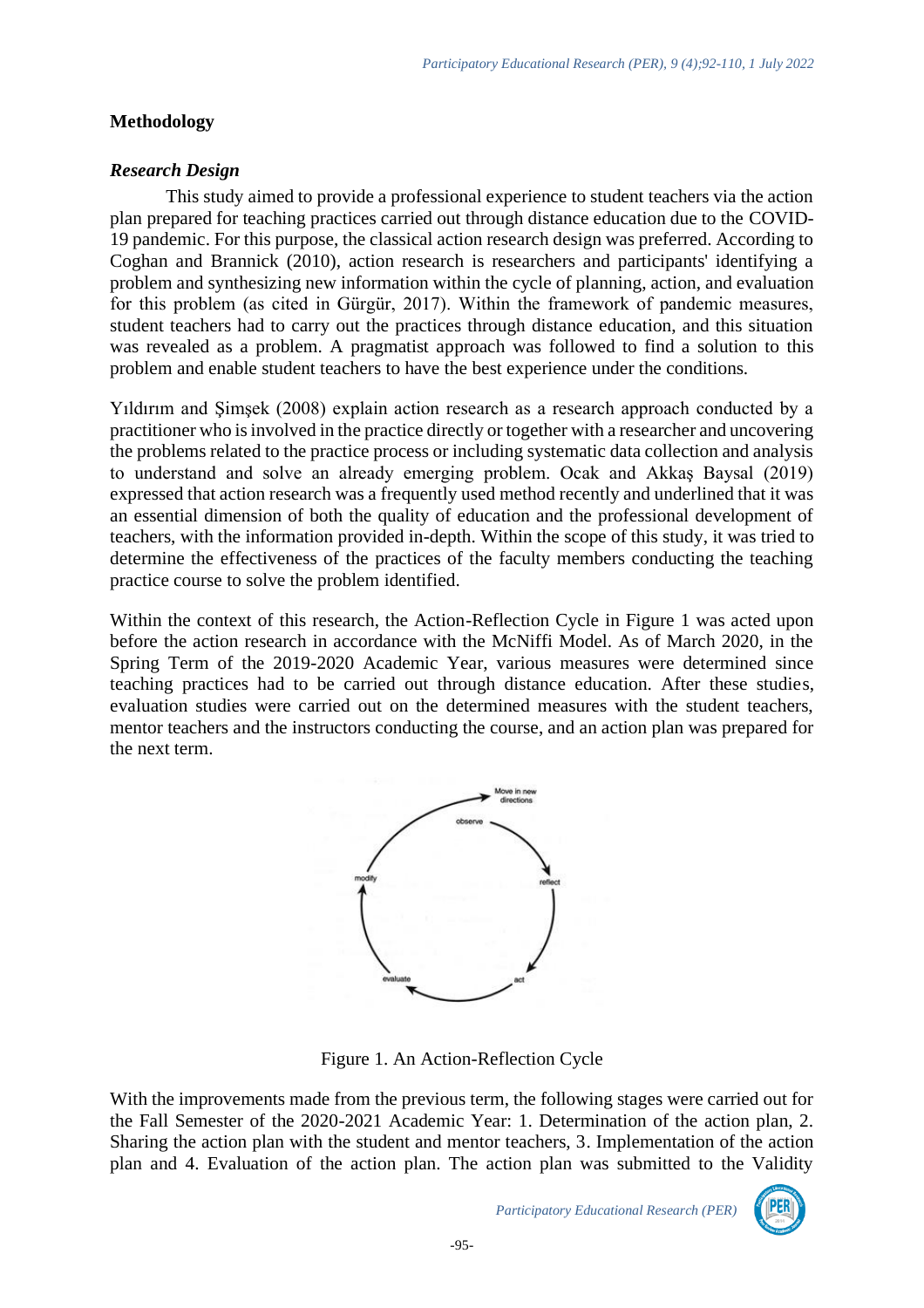### **Methodology**

#### *Research Design*

This study aimed to provide a professional experience to student teachers via the action plan prepared for teaching practices carried out through distance education due to the COVID-19 pandemic. For this purpose, the classical action research design was preferred. According to Coghan and Brannick (2010), action research is researchers and participants' identifying a problem and synthesizing new information within the cycle of planning, action, and evaluation for this problem (as cited in Gürgür, 2017). Within the framework of pandemic measures, student teachers had to carry out the practices through distance education, and this situation was revealed as a problem. A pragmatist approach was followed to find a solution to this problem and enable student teachers to have the best experience under the conditions.

Yıldırım and Şimşek (2008) explain action research as a research approach conducted by a practitioner who is involved in the practice directly or together with a researcher and uncovering the problems related to the practice process or including systematic data collection and analysis to understand and solve an already emerging problem. Ocak and Akkaş Baysal (2019) expressed that action research was a frequently used method recently and underlined that it was an essential dimension of both the quality of education and the professional development of teachers, with the information provided in-depth. Within the scope of this study, it was tried to determine the effectiveness of the practices of the faculty members conducting the teaching practice course to solve the problem identified.

Within the context of this research, the Action-Reflection Cycle in Figure 1 was acted upon before the action research in accordance with the McNiffi Model. As of March 2020, in the Spring Term of the 2019-2020 Academic Year, various measures were determined since teaching practices had to be carried out through distance education. After these studies, evaluation studies were carried out on the determined measures with the student teachers, mentor teachers and the instructors conducting the course, and an action plan was prepared for the next term.



Figure 1. An Action-Reflection Cycle

With the improvements made from the previous term, the following stages were carried out for the Fall Semester of the 2020-2021 Academic Year: 1. Determination of the action plan, 2. Sharing the action plan with the student and mentor teachers, 3. Implementation of the action plan and 4. Evaluation of the action plan. The action plan was submitted to the Validity

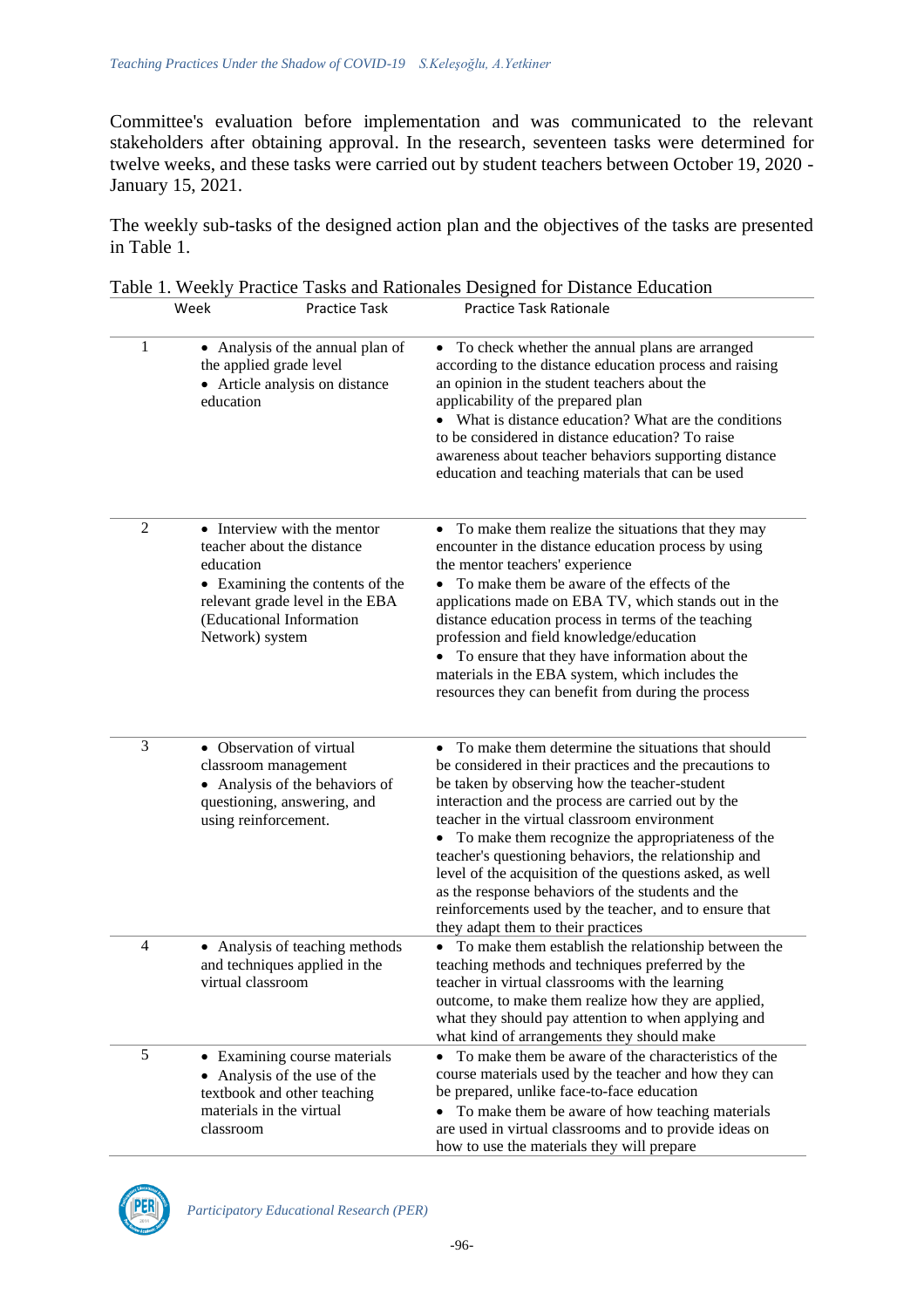Committee's evaluation before implementation and was communicated to the relevant stakeholders after obtaining approval. In the research, seventeen tasks were determined for twelve weeks, and these tasks were carried out by student teachers between October 19, 2020 - January 15, 2021.

The weekly sub-tasks of the designed action plan and the objectives of the tasks are presented in Table 1.

|                | <b>Practice Task</b><br>Week                                                                                                                                                                | <b>Practice Task Rationale</b>                                                                                                                                                                                                                                                                                                                                                                                                                                                                                                                                                                         |
|----------------|---------------------------------------------------------------------------------------------------------------------------------------------------------------------------------------------|--------------------------------------------------------------------------------------------------------------------------------------------------------------------------------------------------------------------------------------------------------------------------------------------------------------------------------------------------------------------------------------------------------------------------------------------------------------------------------------------------------------------------------------------------------------------------------------------------------|
| 1              | • Analysis of the annual plan of<br>the applied grade level<br>• Article analysis on distance<br>education                                                                                  | To check whether the annual plans are arranged<br>$\bullet$<br>according to the distance education process and raising<br>an opinion in the student teachers about the<br>applicability of the prepared plan<br>• What is distance education? What are the conditions<br>to be considered in distance education? To raise<br>awareness about teacher behaviors supporting distance<br>education and teaching materials that can be used                                                                                                                                                                |
| $\mathfrak{2}$ | • Interview with the mentor<br>teacher about the distance<br>education<br>• Examining the contents of the<br>relevant grade level in the EBA<br>(Educational Information<br>Network) system | To make them realize the situations that they may<br>$\bullet$<br>encounter in the distance education process by using<br>the mentor teachers' experience<br>To make them be aware of the effects of the<br>applications made on EBA TV, which stands out in the<br>distance education process in terms of the teaching<br>profession and field knowledge/education<br>• To ensure that they have information about the<br>materials in the EBA system, which includes the<br>resources they can benefit from during the process                                                                       |
| 3              | • Observation of virtual<br>classroom management<br>• Analysis of the behaviors of<br>questioning, answering, and<br>using reinforcement.                                                   | • To make them determine the situations that should<br>be considered in their practices and the precautions to<br>be taken by observing how the teacher-student<br>interaction and the process are carried out by the<br>teacher in the virtual classroom environment<br>• To make them recognize the appropriateness of the<br>teacher's questioning behaviors, the relationship and<br>level of the acquisition of the questions asked, as well<br>as the response behaviors of the students and the<br>reinforcements used by the teacher, and to ensure that<br>they adapt them to their practices |
| $\overline{4}$ | • Analysis of teaching methods<br>and techniques applied in the<br>virtual classroom                                                                                                        | • To make them establish the relationship between the<br>teaching methods and techniques preferred by the<br>teacher in virtual classrooms with the learning<br>outcome, to make them realize how they are applied,<br>what they should pay attention to when applying and<br>what kind of arrangements they should make                                                                                                                                                                                                                                                                               |
| 5              | • Examining course materials<br>• Analysis of the use of the<br>textbook and other teaching<br>materials in the virtual<br>classroom                                                        | • To make them be aware of the characteristics of the<br>course materials used by the teacher and how they can<br>be prepared, unlike face-to-face education<br>• To make them be aware of how teaching materials<br>are used in virtual classrooms and to provide ideas on<br>how to use the materials they will prepare                                                                                                                                                                                                                                                                              |

Table 1. Weekly Practice Tasks and Rationales Designed for Distance Education

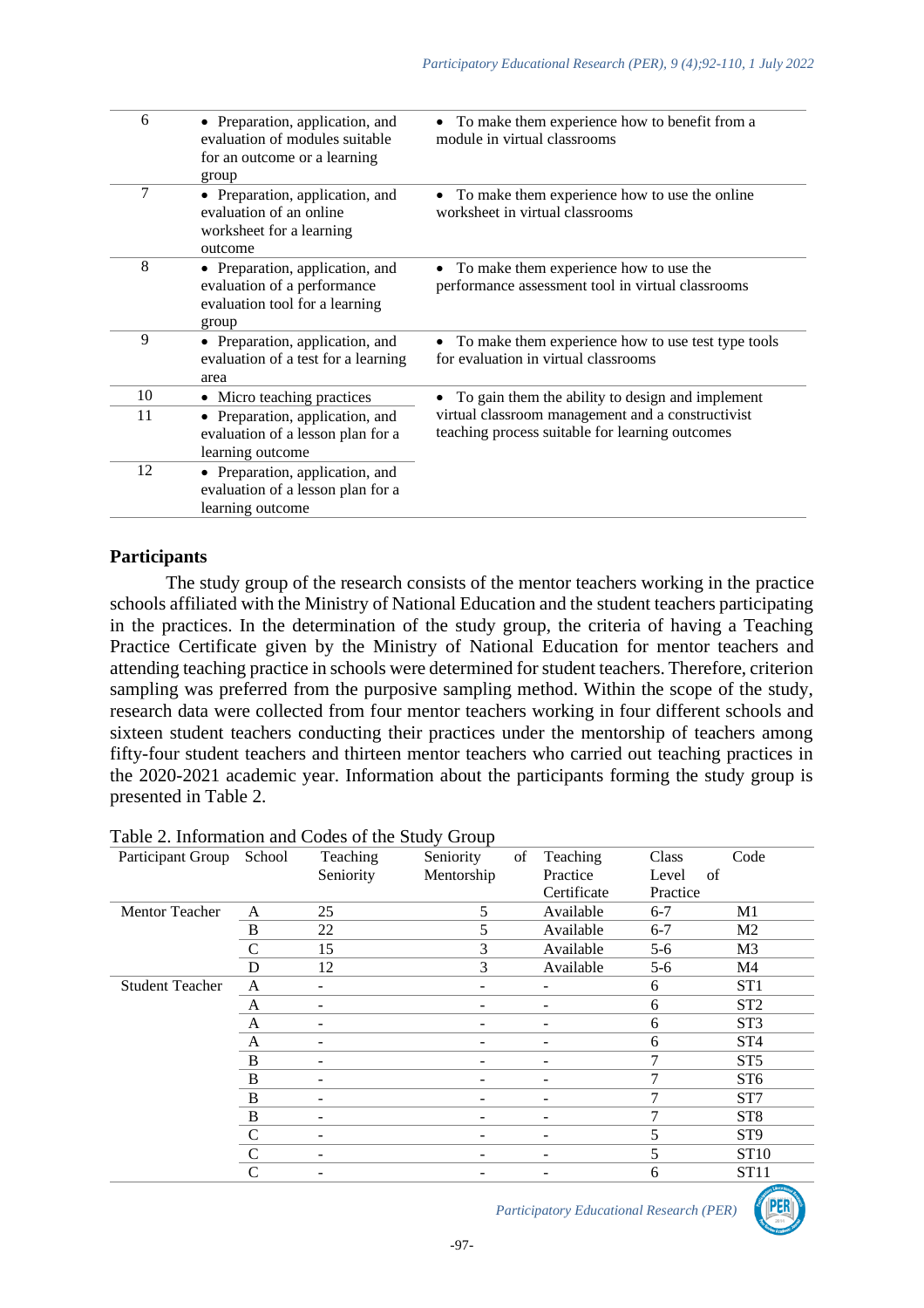| 6  | • Preparation, application, and<br>evaluation of modules suitable<br>for an outcome or a learning<br>group | To make them experience how to benefit from a<br>module in virtual classrooms                        |
|----|------------------------------------------------------------------------------------------------------------|------------------------------------------------------------------------------------------------------|
| 7  | • Preparation, application, and<br>evaluation of an online<br>worksheet for a learning<br>outcome          | To make them experience how to use the online<br>worksheet in virtual classrooms                     |
| 8  | • Preparation, application, and<br>evaluation of a performance<br>evaluation tool for a learning<br>group  | To make them experience how to use the<br>performance assessment tool in virtual classrooms          |
| 9  | • Preparation, application, and<br>evaluation of a test for a learning<br>area                             | To make them experience how to use test type tools<br>for evaluation in virtual classrooms           |
| 10 | • Micro teaching practices                                                                                 | To gain them the ability to design and implement                                                     |
| 11 | Preparation, application, and<br>$\bullet$<br>evaluation of a lesson plan for a<br>learning outcome        | virtual classroom management and a constructivist<br>teaching process suitable for learning outcomes |
| 12 | • Preparation, application, and<br>evaluation of a lesson plan for a<br>learning outcome                   |                                                                                                      |

#### **Participants**

The study group of the research consists of the mentor teachers working in the practice schools affiliated with the Ministry of National Education and the student teachers participating in the practices. In the determination of the study group, the criteria of having a Teaching Practice Certificate given by the Ministry of National Education for mentor teachers and attending teaching practice in schools were determined for student teachers. Therefore, criterion sampling was preferred from the purposive sampling method. Within the scope of the study, research data were collected from four mentor teachers working in four different schools and sixteen student teachers conducting their practices under the mentorship of teachers among fifty-four student teachers and thirteen mentor teachers who carried out teaching practices in the 2020-2021 academic year. Information about the participants forming the study group is presented in Table 2.

| Participant Group      | School<br>Teaching<br>Seniority |                          | of         | Teaching | Class       | Code           |                  |
|------------------------|---------------------------------|--------------------------|------------|----------|-------------|----------------|------------------|
|                        |                                 | Seniority                | Mentorship |          | Practice    | Level<br>of    |                  |
|                        |                                 |                          |            |          | Certificate | Practice       |                  |
| <b>Mentor Teacher</b>  | A                               | 25                       | 5          |          | Available   | $6 - 7$        | M1               |
|                        | B                               | 22                       | 5          |          | Available   | $6 - 7$        | M <sub>2</sub>   |
|                        | C                               | 15                       | 3          |          | Available   | $5 - 6$        | M <sub>3</sub>   |
|                        | D                               | 12                       | 3          |          | Available   | $5-6$          | M4               |
| <b>Student Teacher</b> | A                               | $\overline{\phantom{0}}$ |            |          | -           | 6              | ST1              |
|                        | A                               | $\overline{\phantom{a}}$ |            |          | ۰           | 6              | ST <sub>2</sub>  |
|                        | A                               | $\overline{\phantom{a}}$ |            |          | -           | 6              | ST <sub>3</sub>  |
|                        | A                               | $\overline{\phantom{0}}$ |            |          | ۰           | 6              | ST <sub>4</sub>  |
|                        | B                               | -                        |            |          | -           | $\overline{7}$ | ST <sub>5</sub>  |
|                        | $\, {\bf B}$                    | ۰                        |            |          |             | 7              | ST <sub>6</sub>  |
|                        | B                               | ۰                        |            |          |             | 7              | ST <sub>7</sub>  |
|                        | B                               | $\qquad \qquad$          |            |          |             |                | ST <sub>8</sub>  |
|                        | $\mathcal{C}$                   | $\overline{\phantom{0}}$ |            |          |             | 5              | ST <sub>9</sub>  |
|                        | $\mathcal{C}$                   | $\qquad \qquad$          |            |          |             | 5              | ST <sub>10</sub> |
|                        | $\mathcal{C}$                   |                          |            |          |             | 6              | <b>ST11</b>      |

#### Table 2. Information and Codes of the Study Group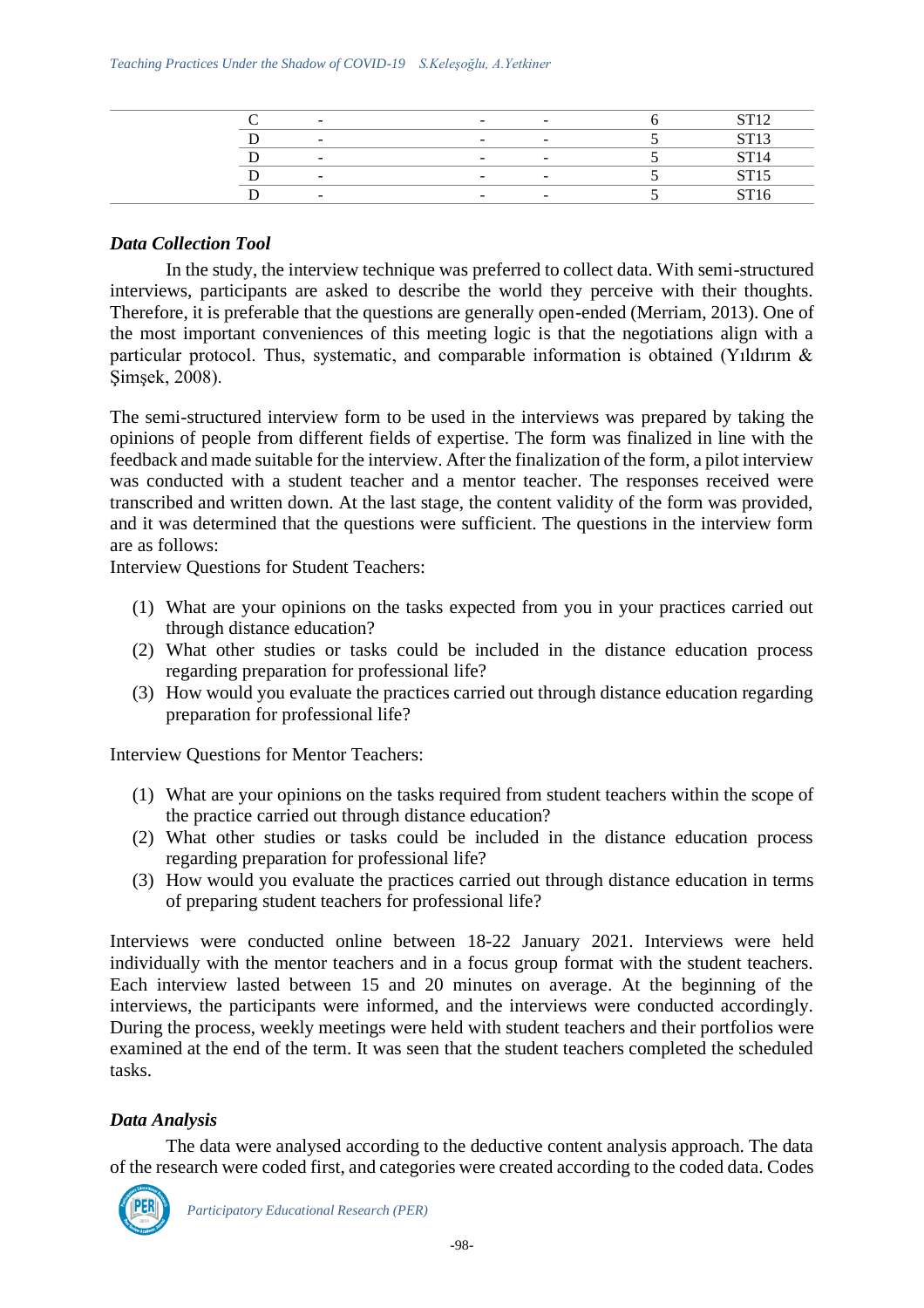|  | $\overline{\phantom{a}}$ | $\overline{\phantom{a}}$ | $\sim$                   | CDM                  |
|--|--------------------------|--------------------------|--------------------------|----------------------|
|  | $\overline{\phantom{a}}$ | $-$                      | $\sim$                   | $\sim$ $\sim$ $\sim$ |
|  | $\sim$                   | $\overline{\phantom{a}}$ | $\sim$                   |                      |
|  | $\overline{\phantom{0}}$ | $\overline{\phantom{a}}$ | $\sim$                   |                      |
|  | -                        | $-$                      | $\overline{\phantom{a}}$ |                      |

#### *Data Collection Tool*

In the study, the interview technique was preferred to collect data. With semi-structured interviews, participants are asked to describe the world they perceive with their thoughts. Therefore, it is preferable that the questions are generally open-ended (Merriam, 2013). One of the most important conveniences of this meeting logic is that the negotiations align with a particular protocol. Thus, systematic, and comparable information is obtained (Yıldırım & Şimşek, 2008).

The semi-structured interview form to be used in the interviews was prepared by taking the opinions of people from different fields of expertise. The form was finalized in line with the feedback and made suitable for the interview. After the finalization of the form, a pilot interview was conducted with a student teacher and a mentor teacher. The responses received were transcribed and written down. At the last stage, the content validity of the form was provided, and it was determined that the questions were sufficient. The questions in the interview form are as follows:

Interview Questions for Student Teachers:

- (1) What are your opinions on the tasks expected from you in your practices carried out through distance education?
- (2) What other studies or tasks could be included in the distance education process regarding preparation for professional life?
- (3) How would you evaluate the practices carried out through distance education regarding preparation for professional life?

Interview Questions for Mentor Teachers:

- (1) What are your opinions on the tasks required from student teachers within the scope of the practice carried out through distance education?
- (2) What other studies or tasks could be included in the distance education process regarding preparation for professional life?
- (3) How would you evaluate the practices carried out through distance education in terms of preparing student teachers for professional life?

Interviews were conducted online between 18-22 January 2021. Interviews were held individually with the mentor teachers and in a focus group format with the student teachers. Each interview lasted between 15 and 20 minutes on average. At the beginning of the interviews, the participants were informed, and the interviews were conducted accordingly. During the process, weekly meetings were held with student teachers and their portfolios were examined at the end of the term. It was seen that the student teachers completed the scheduled tasks.

### *Data Analysis*

The data were analysed according to the deductive content analysis approach. The data of the research were coded first, and categories were created according to the coded data. Codes

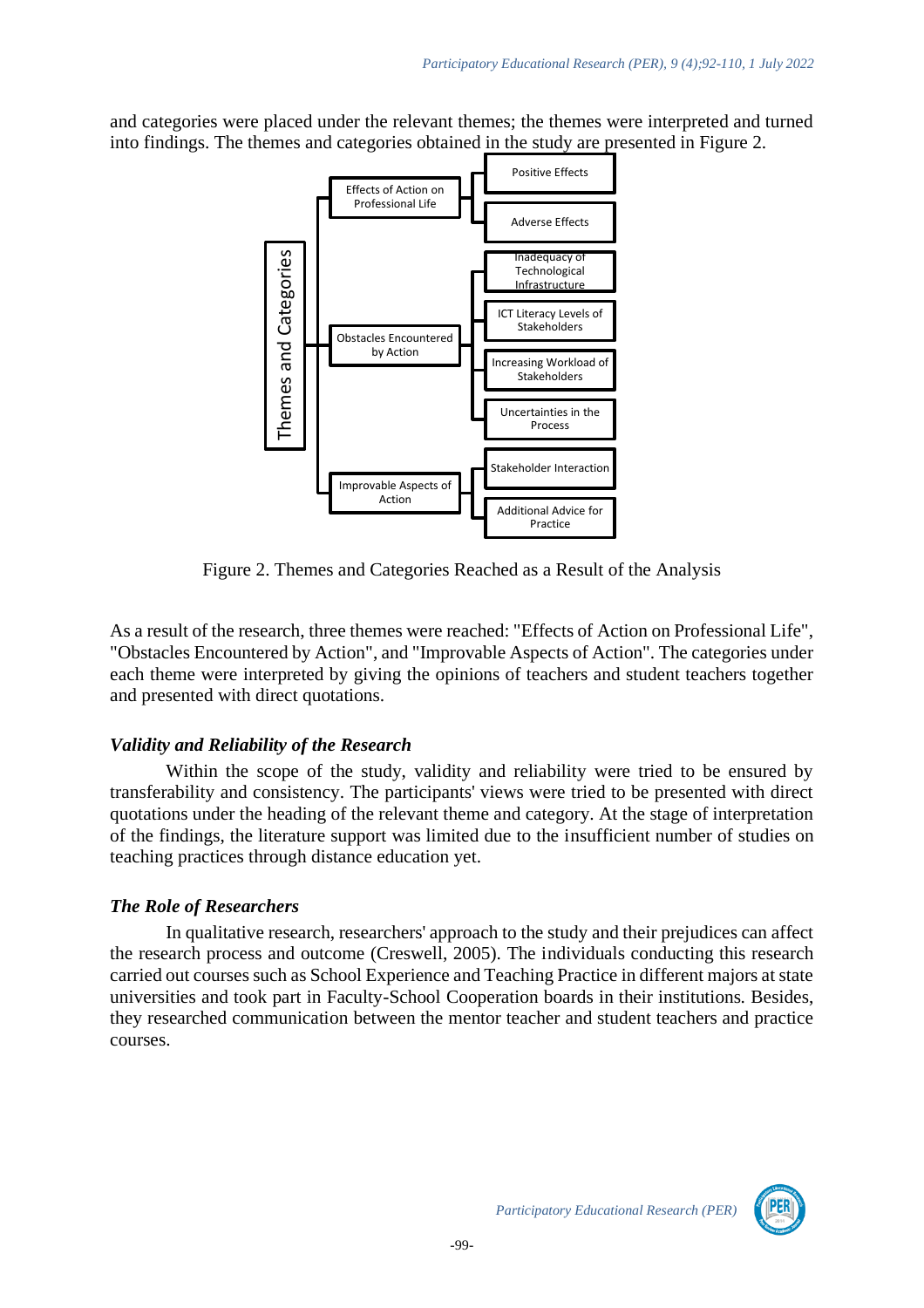and categories were placed under the relevant themes; the themes were interpreted and turned into findings. The themes and categories obtained in the study are presented in Figure 2.



Figure 2. Themes and Categories Reached as a Result of the Analysis

As a result of the research, three themes were reached: "Effects of Action on Professional Life", "Obstacles Encountered by Action", and "Improvable Aspects of Action". The categories under each theme were interpreted by giving the opinions of teachers and student teachers together and presented with direct quotations.

# *Validity and Reliability of the Research*

Within the scope of the study, validity and reliability were tried to be ensured by transferability and consistency. The participants' views were tried to be presented with direct quotations under the heading of the relevant theme and category. At the stage of interpretation of the findings, the literature support was limited due to the insufficient number of studies on teaching practices through distance education yet.

### *The Role of Researchers*

In qualitative research, researchers' approach to the study and their prejudices can affect the research process and outcome (Creswell, 2005). The individuals conducting this research carried out courses such as School Experience and Teaching Practice in different majors at state universities and took part in Faculty-School Cooperation boards in their institutions. Besides, they researched communication between the mentor teacher and student teachers and practice courses.

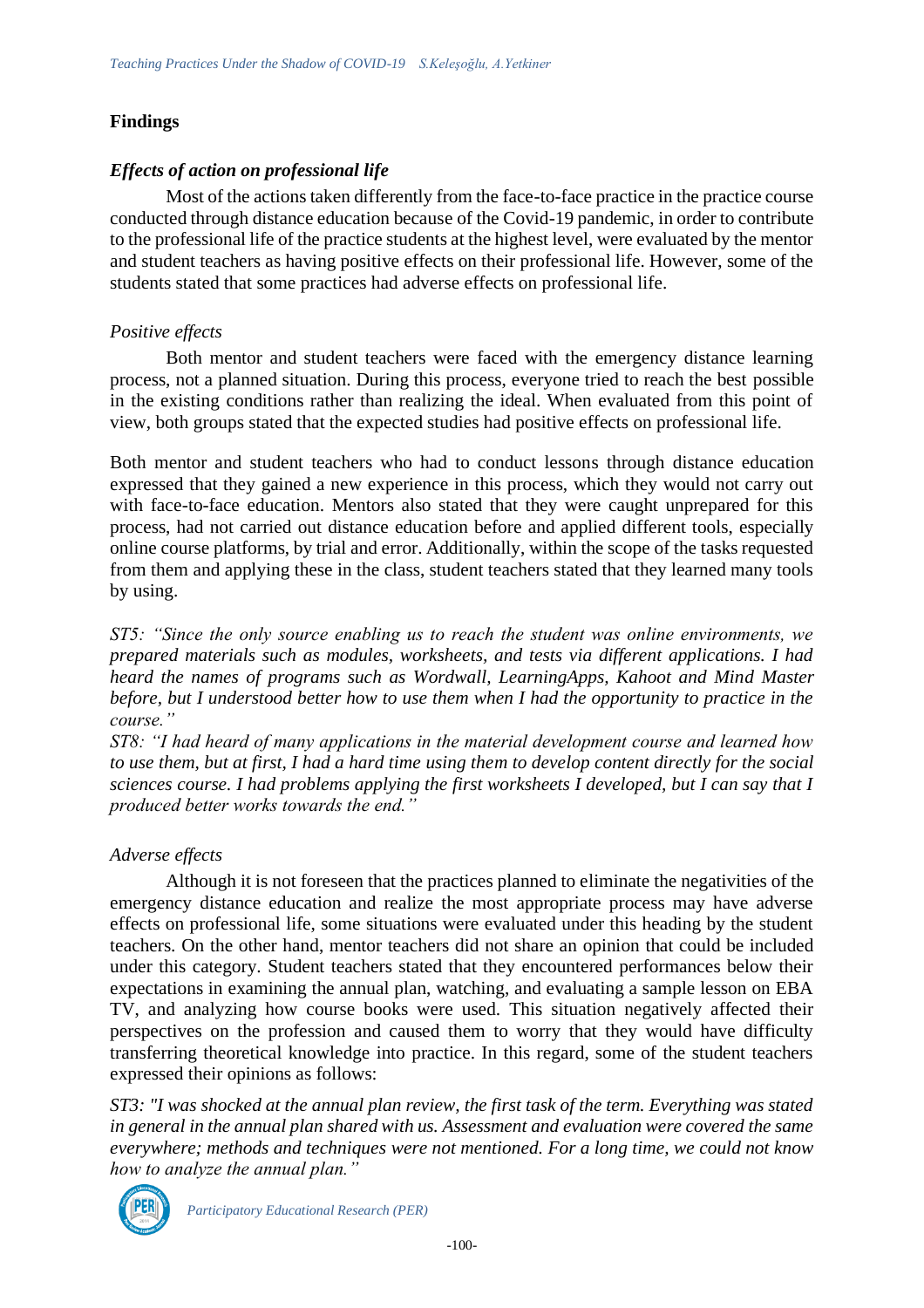# **Findings**

## *Effects of action on professional life*

Most of the actions taken differently from the face-to-face practice in the practice course conducted through distance education because of the Covid-19 pandemic, in order to contribute to the professional life of the practice students at the highest level, were evaluated by the mentor and student teachers as having positive effects on their professional life. However, some of the students stated that some practices had adverse effects on professional life.

### *Positive effects*

Both mentor and student teachers were faced with the emergency distance learning process, not a planned situation. During this process, everyone tried to reach the best possible in the existing conditions rather than realizing the ideal. When evaluated from this point of view, both groups stated that the expected studies had positive effects on professional life.

Both mentor and student teachers who had to conduct lessons through distance education expressed that they gained a new experience in this process, which they would not carry out with face-to-face education. Mentors also stated that they were caught unprepared for this process, had not carried out distance education before and applied different tools, especially online course platforms, by trial and error. Additionally, within the scope of the tasks requested from them and applying these in the class, student teachers stated that they learned many tools by using.

*ST5: "Since the only source enabling us to reach the student was online environments, we prepared materials such as modules, worksheets, and tests via different applications. I had heard the names of programs such as Wordwall, LearningApps, Kahoot and Mind Master before, but I understood better how to use them when I had the opportunity to practice in the course."*

*ST8: "I had heard of many applications in the material development course and learned how to use them, but at first, I had a hard time using them to develop content directly for the social sciences course. I had problems applying the first worksheets I developed, but I can say that I produced better works towards the end."*

### *Adverse effects*

Although it is not foreseen that the practices planned to eliminate the negativities of the emergency distance education and realize the most appropriate process may have adverse effects on professional life, some situations were evaluated under this heading by the student teachers. On the other hand, mentor teachers did not share an opinion that could be included under this category. Student teachers stated that they encountered performances below their expectations in examining the annual plan, watching, and evaluating a sample lesson on EBA TV, and analyzing how course books were used. This situation negatively affected their perspectives on the profession and caused them to worry that they would have difficulty transferring theoretical knowledge into practice. In this regard, some of the student teachers expressed their opinions as follows:

*ST3: "I was shocked at the annual plan review, the first task of the term. Everything was stated in general in the annual plan shared with us. Assessment and evaluation were covered the same everywhere; methods and techniques were not mentioned. For a long time, we could not know how to analyze the annual plan."*

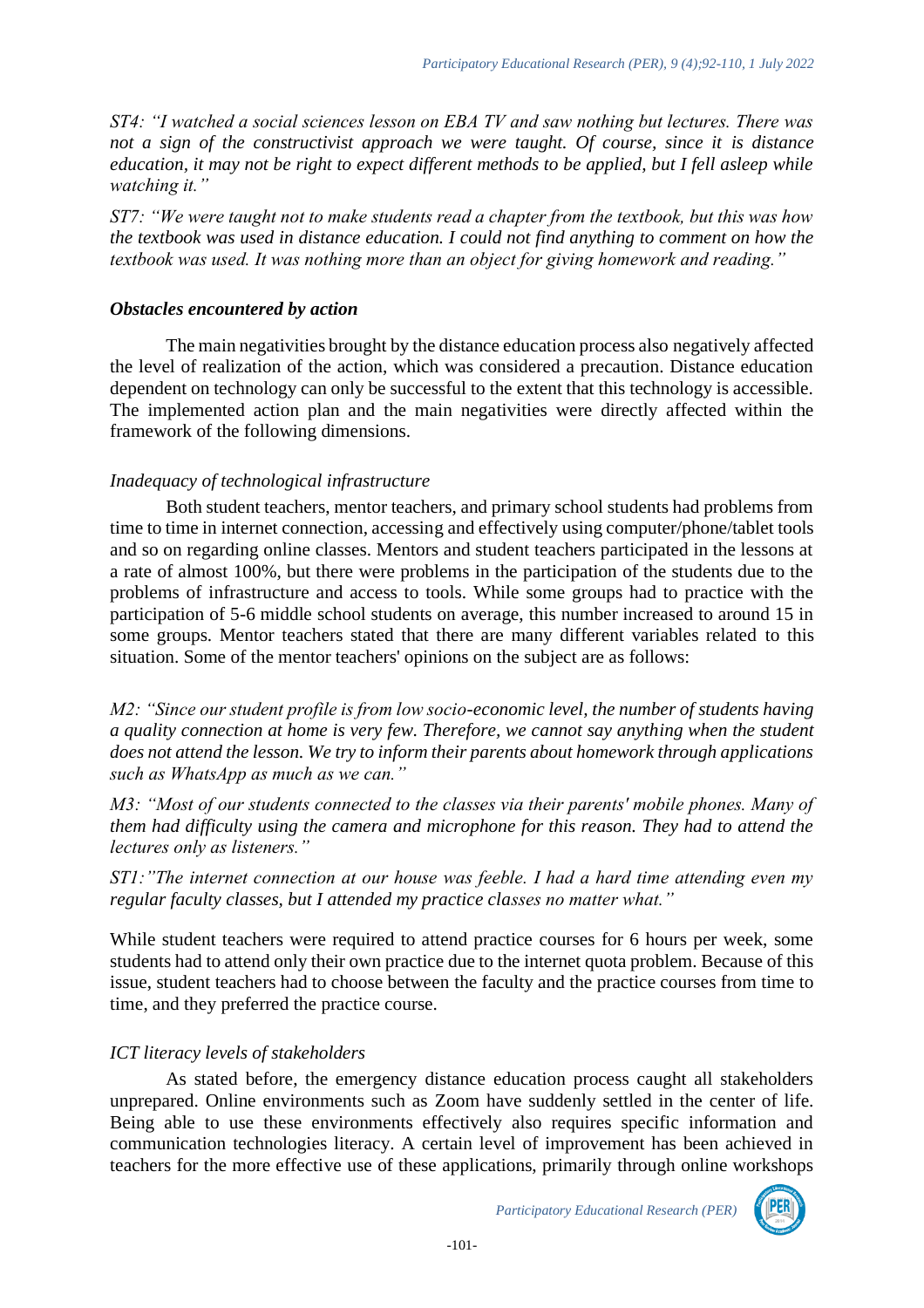*ST4: "I watched a social sciences lesson on EBA TV and saw nothing but lectures. There was not a sign of the constructivist approach we were taught. Of course, since it is distance education, it may not be right to expect different methods to be applied, but I fell asleep while watching it."*

*ST7: "We were taught not to make students read a chapter from the textbook, but this was how the textbook was used in distance education. I could not find anything to comment on how the textbook was used. It was nothing more than an object for giving homework and reading."*

#### *Obstacles encountered by action*

The main negativities brought by the distance education process also negatively affected the level of realization of the action, which was considered a precaution. Distance education dependent on technology can only be successful to the extent that this technology is accessible. The implemented action plan and the main negativities were directly affected within the framework of the following dimensions.

#### *Inadequacy of technological infrastructure*

Both student teachers, mentor teachers, and primary school students had problems from time to time in internet connection, accessing and effectively using computer/phone/tablet tools and so on regarding online classes. Mentors and student teachers participated in the lessons at a rate of almost 100%, but there were problems in the participation of the students due to the problems of infrastructure and access to tools. While some groups had to practice with the participation of 5-6 middle school students on average, this number increased to around 15 in some groups. Mentor teachers stated that there are many different variables related to this situation. Some of the mentor teachers' opinions on the subject are as follows:

*M2: "Since our student profile is from low socio-economic level, the number of students having a quality connection at home is very few. Therefore, we cannot say anything when the student does not attend the lesson. We try to inform their parents about homework through applications such as WhatsApp as much as we can."*

*M3: "Most of our students connected to the classes via their parents' mobile phones. Many of them had difficulty using the camera and microphone for this reason. They had to attend the lectures only as listeners."*

*ST1:"The internet connection at our house was feeble. I had a hard time attending even my regular faculty classes, but I attended my practice classes no matter what."*

While student teachers were required to attend practice courses for 6 hours per week, some students had to attend only their own practice due to the internet quota problem. Because of this issue, student teachers had to choose between the faculty and the practice courses from time to time, and they preferred the practice course.

### *ICT literacy levels of stakeholders*

As stated before, the emergency distance education process caught all stakeholders unprepared. Online environments such as Zoom have suddenly settled in the center of life. Being able to use these environments effectively also requires specific information and communication technologies literacy. A certain level of improvement has been achieved in teachers for the more effective use of these applications, primarily through online workshops

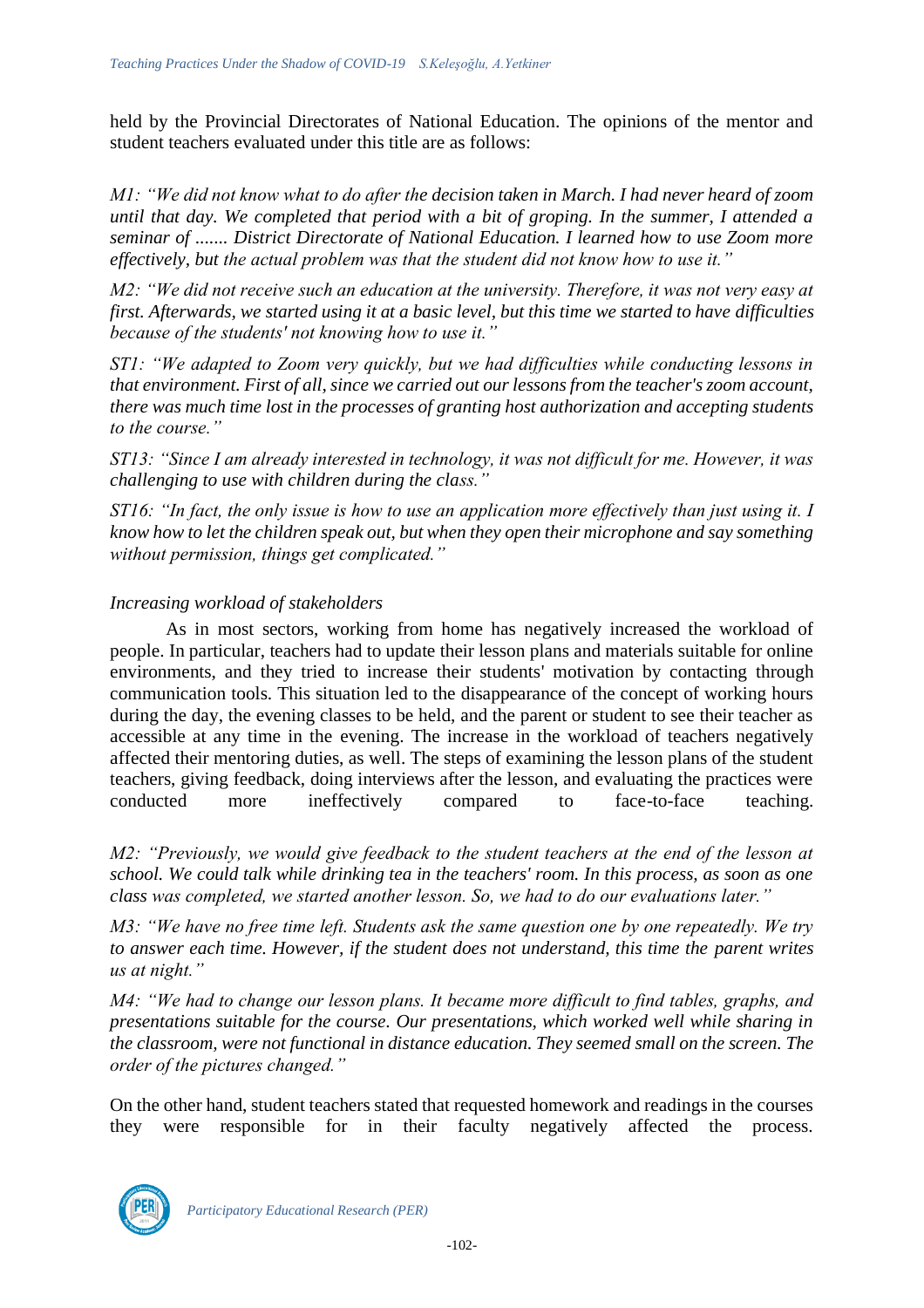held by the Provincial Directorates of National Education. The opinions of the mentor and student teachers evaluated under this title are as follows:

*M1: "We did not know what to do after the decision taken in March. I had never heard of zoom until that day. We completed that period with a bit of groping. In the summer, I attended a seminar of ....... District Directorate of National Education. I learned how to use Zoom more effectively, but the actual problem was that the student did not know how to use it."* 

*M2: "We did not receive such an education at the university. Therefore, it was not very easy at first. Afterwards, we started using it at a basic level, but this time we started to have difficulties because of the students' not knowing how to use it."*

*ST1: "We adapted to Zoom very quickly, but we had difficulties while conducting lessons in that environment. First of all, since we carried out our lessons from the teacher's zoom account, there was much time lost in the processes of granting host authorization and accepting students to the course."* 

*ST13: "Since I am already interested in technology, it was not difficult for me. However, it was challenging to use with children during the class."*

*ST16: "In fact, the only issue is how to use an application more effectively than just using it. I know how to let the children speak out, but when they open their microphone and say something without permission, things get complicated."*

#### *Increasing workload of stakeholders*

As in most sectors, working from home has negatively increased the workload of people. In particular, teachers had to update their lesson plans and materials suitable for online environments, and they tried to increase their students' motivation by contacting through communication tools. This situation led to the disappearance of the concept of working hours during the day, the evening classes to be held, and the parent or student to see their teacher as accessible at any time in the evening. The increase in the workload of teachers negatively affected their mentoring duties, as well. The steps of examining the lesson plans of the student teachers, giving feedback, doing interviews after the lesson, and evaluating the practices were conducted more ineffectively compared to face-to-face teaching.

*M2: "Previously, we would give feedback to the student teachers at the end of the lesson at school. We could talk while drinking tea in the teachers' room. In this process, as soon as one class was completed, we started another lesson. So, we had to do our evaluations later."*

*M3: "We have no free time left. Students ask the same question one by one repeatedly. We try to answer each time. However, if the student does not understand, this time the parent writes us at night."*

*M4: "We had to change our lesson plans. It became more difficult to find tables, graphs, and presentations suitable for the course. Our presentations, which worked well while sharing in the classroom, were not functional in distance education. They seemed small on the screen. The order of the pictures changed."*

On the other hand, student teachers stated that requested homework and readings in the courses they were responsible for in their faculty negatively affected the process.

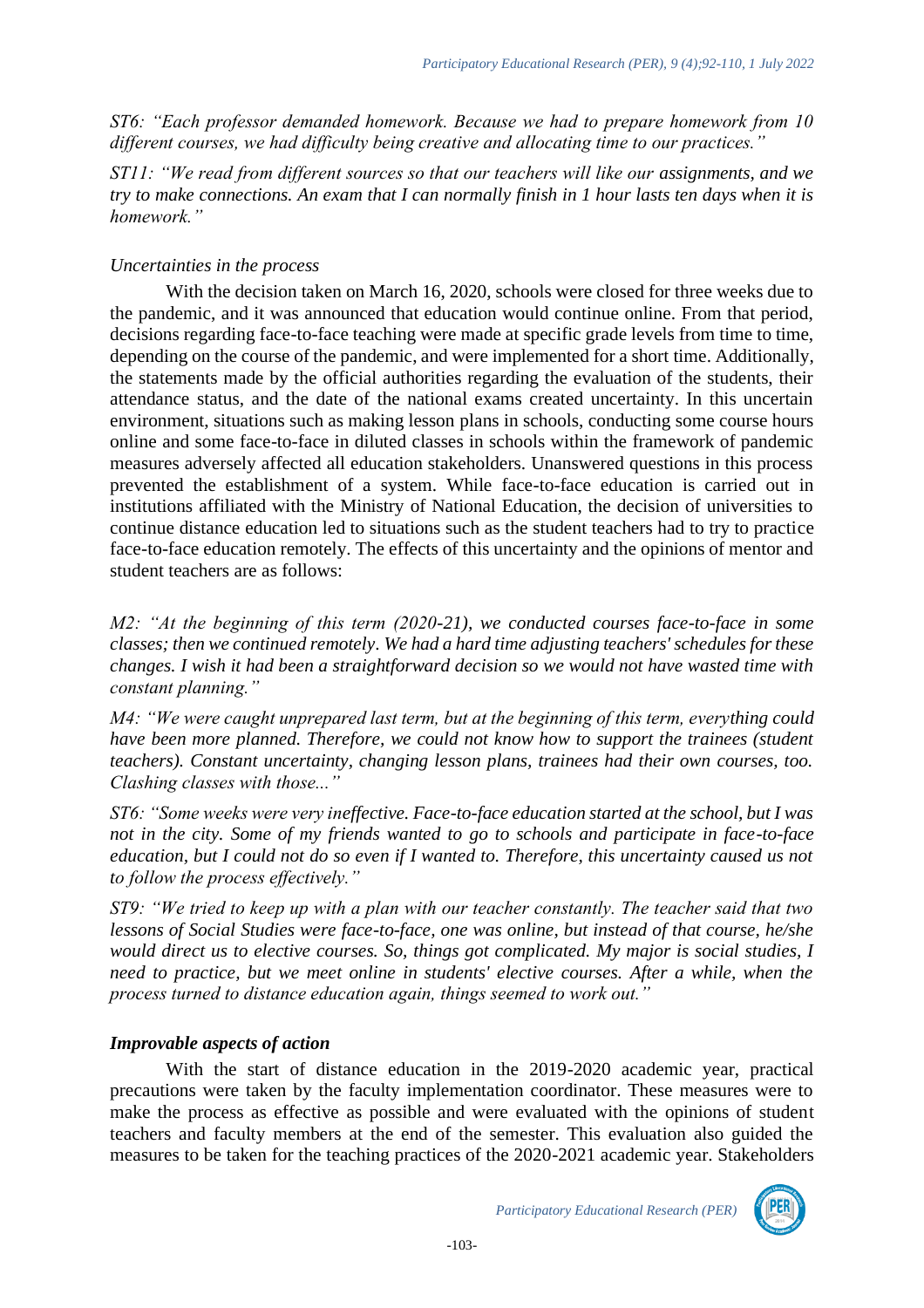*ST6: "Each professor demanded homework. Because we had to prepare homework from 10 different courses, we had difficulty being creative and allocating time to our practices."*

*ST11: "We read from different sources so that our teachers will like our assignments, and we try to make connections. An exam that I can normally finish in 1 hour lasts ten days when it is homework."*

#### *Uncertainties in the process*

With the decision taken on March 16, 2020, schools were closed for three weeks due to the pandemic, and it was announced that education would continue online. From that period, decisions regarding face-to-face teaching were made at specific grade levels from time to time, depending on the course of the pandemic, and were implemented for a short time. Additionally, the statements made by the official authorities regarding the evaluation of the students, their attendance status, and the date of the national exams created uncertainty. In this uncertain environment, situations such as making lesson plans in schools, conducting some course hours online and some face-to-face in diluted classes in schools within the framework of pandemic measures adversely affected all education stakeholders. Unanswered questions in this process prevented the establishment of a system. While face-to-face education is carried out in institutions affiliated with the Ministry of National Education, the decision of universities to continue distance education led to situations such as the student teachers had to try to practice face-to-face education remotely. The effects of this uncertainty and the opinions of mentor and student teachers are as follows:

*M2: "At the beginning of this term (2020-21), we conducted courses face-to-face in some classes; then we continued remotely. We had a hard time adjusting teachers' schedules for these changes. I wish it had been a straightforward decision so we would not have wasted time with constant planning."*

*M4: "We were caught unprepared last term, but at the beginning of this term, everything could have been more planned. Therefore, we could not know how to support the trainees (student teachers). Constant uncertainty, changing lesson plans, trainees had their own courses, too. Clashing classes with those..."*

*ST6: "Some weeks were very ineffective. Face-to-face education started at the school, but I was not in the city. Some of my friends wanted to go to schools and participate in face-to-face education, but I could not do so even if I wanted to. Therefore, this uncertainty caused us not to follow the process effectively."*

*ST9: "We tried to keep up with a plan with our teacher constantly. The teacher said that two lessons of Social Studies were face-to-face, one was online, but instead of that course, he/she would direct us to elective courses. So, things got complicated. My major is social studies, I need to practice, but we meet online in students' elective courses. After a while, when the process turned to distance education again, things seemed to work out."*

### *Improvable aspects of action*

With the start of distance education in the 2019-2020 academic year, practical precautions were taken by the faculty implementation coordinator. These measures were to make the process as effective as possible and were evaluated with the opinions of student teachers and faculty members at the end of the semester. This evaluation also guided the measures to be taken for the teaching practices of the 2020-2021 academic year. Stakeholders



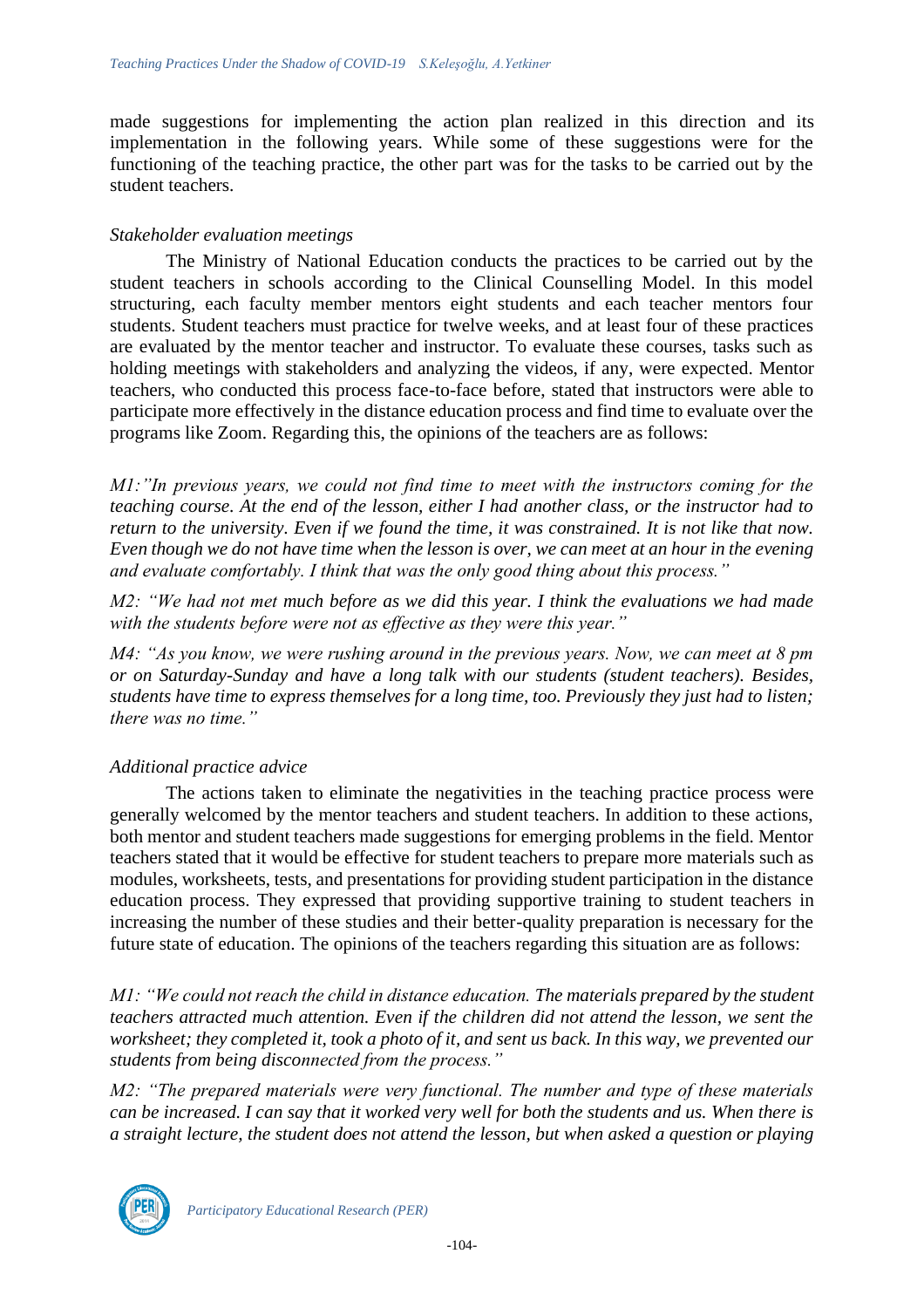made suggestions for implementing the action plan realized in this direction and its implementation in the following years. While some of these suggestions were for the functioning of the teaching practice, the other part was for the tasks to be carried out by the student teachers.

#### *Stakeholder evaluation meetings*

The Ministry of National Education conducts the practices to be carried out by the student teachers in schools according to the Clinical Counselling Model. In this model structuring, each faculty member mentors eight students and each teacher mentors four students. Student teachers must practice for twelve weeks, and at least four of these practices are evaluated by the mentor teacher and instructor. To evaluate these courses, tasks such as holding meetings with stakeholders and analyzing the videos, if any, were expected. Mentor teachers, who conducted this process face-to-face before, stated that instructors were able to participate more effectively in the distance education process and find time to evaluate over the programs like Zoom. Regarding this, the opinions of the teachers are as follows:

*M1:"In previous years, we could not find time to meet with the instructors coming for the teaching course. At the end of the lesson, either I had another class, or the instructor had to return to the university. Even if we found the time, it was constrained. It is not like that now. Even though we do not have time when the lesson is over, we can meet at an hour in the evening and evaluate comfortably. I think that was the only good thing about this process."*

*M2: "We had not met much before as we did this year. I think the evaluations we had made with the students before were not as effective as they were this year."*

*M4: "As you know, we were rushing around in the previous years. Now, we can meet at 8 pm or on Saturday-Sunday and have a long talk with our students (student teachers). Besides, students have time to express themselves for a long time, too. Previously they just had to listen; there was no time."*

### *Additional practice advice*

The actions taken to eliminate the negativities in the teaching practice process were generally welcomed by the mentor teachers and student teachers. In addition to these actions, both mentor and student teachers made suggestions for emerging problems in the field. Mentor teachers stated that it would be effective for student teachers to prepare more materials such as modules, worksheets, tests, and presentations for providing student participation in the distance education process. They expressed that providing supportive training to student teachers in increasing the number of these studies and their better-quality preparation is necessary for the future state of education. The opinions of the teachers regarding this situation are as follows:

*M1: "We could not reach the child in distance education. The materials prepared by the student teachers attracted much attention. Even if the children did not attend the lesson, we sent the worksheet; they completed it, took a photo of it, and sent us back. In this way, we prevented our students from being disconnected from the process."*

*M2: "The prepared materials were very functional. The number and type of these materials can be increased. I can say that it worked very well for both the students and us. When there is a straight lecture, the student does not attend the lesson, but when asked a question or playing* 

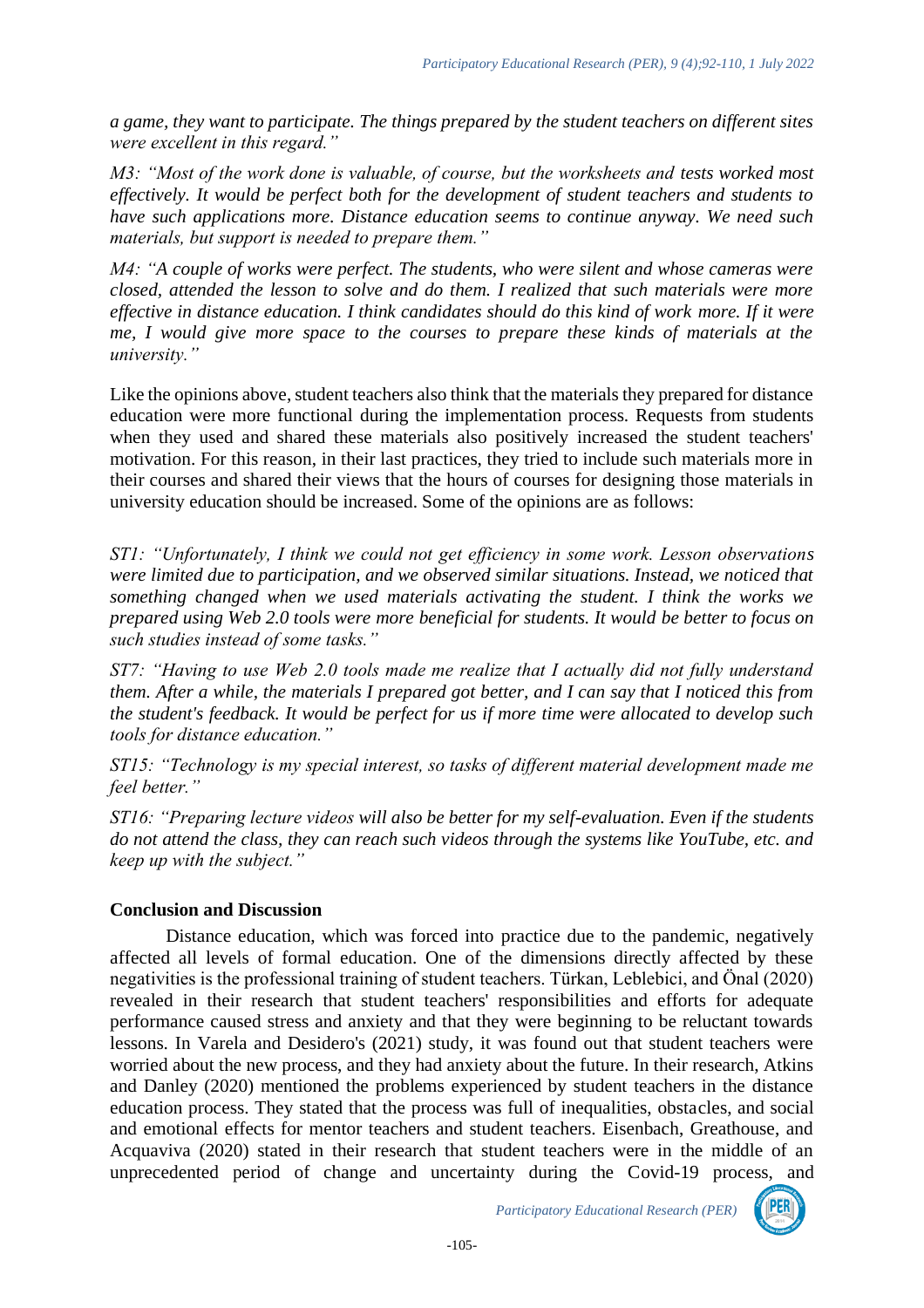*a game, they want to participate. The things prepared by the student teachers on different sites were excellent in this regard."*

*M3: "Most of the work done is valuable, of course, but the worksheets and tests worked most effectively. It would be perfect both for the development of student teachers and students to have such applications more. Distance education seems to continue anyway. We need such materials, but support is needed to prepare them."*

*M4: "A couple of works were perfect. The students, who were silent and whose cameras were closed, attended the lesson to solve and do them. I realized that such materials were more effective in distance education. I think candidates should do this kind of work more. If it were me, I would give more space to the courses to prepare these kinds of materials at the university."*

Like the opinions above, student teachers also think that the materials they prepared for distance education were more functional during the implementation process. Requests from students when they used and shared these materials also positively increased the student teachers' motivation. For this reason, in their last practices, they tried to include such materials more in their courses and shared their views that the hours of courses for designing those materials in university education should be increased. Some of the opinions are as follows:

*ST1: "Unfortunately, I think we could not get efficiency in some work. Lesson observations were limited due to participation, and we observed similar situations. Instead, we noticed that something changed when we used materials activating the student. I think the works we prepared using Web 2.0 tools were more beneficial for students. It would be better to focus on such studies instead of some tasks."*

*ST7: "Having to use Web 2.0 tools made me realize that I actually did not fully understand them. After a while, the materials I prepared got better, and I can say that I noticed this from the student's feedback. It would be perfect for us if more time were allocated to develop such tools for distance education."*

*ST15: "Technology is my special interest, so tasks of different material development made me feel better."*

*ST16: "Preparing lecture videos will also be better for my self-evaluation. Even if the students do not attend the class, they can reach such videos through the systems like YouTube, etc. and keep up with the subject."*

### **Conclusion and Discussion**

Distance education, which was forced into practice due to the pandemic, negatively affected all levels of formal education. One of the dimensions directly affected by these negativities is the professional training of student teachers. Türkan, Leblebici, and Önal (2020) revealed in their research that student teachers' responsibilities and efforts for adequate performance caused stress and anxiety and that they were beginning to be reluctant towards lessons. In Varela and Desidero's (2021) study, it was found out that student teachers were worried about the new process, and they had anxiety about the future. In their research, Atkins and Danley (2020) mentioned the problems experienced by student teachers in the distance education process. They stated that the process was full of inequalities, obstacles, and social and emotional effects for mentor teachers and student teachers. Eisenbach, Greathouse, and Acquaviva (2020) stated in their research that student teachers were in the middle of an unprecedented period of change and uncertainty during the Covid-19 process, and

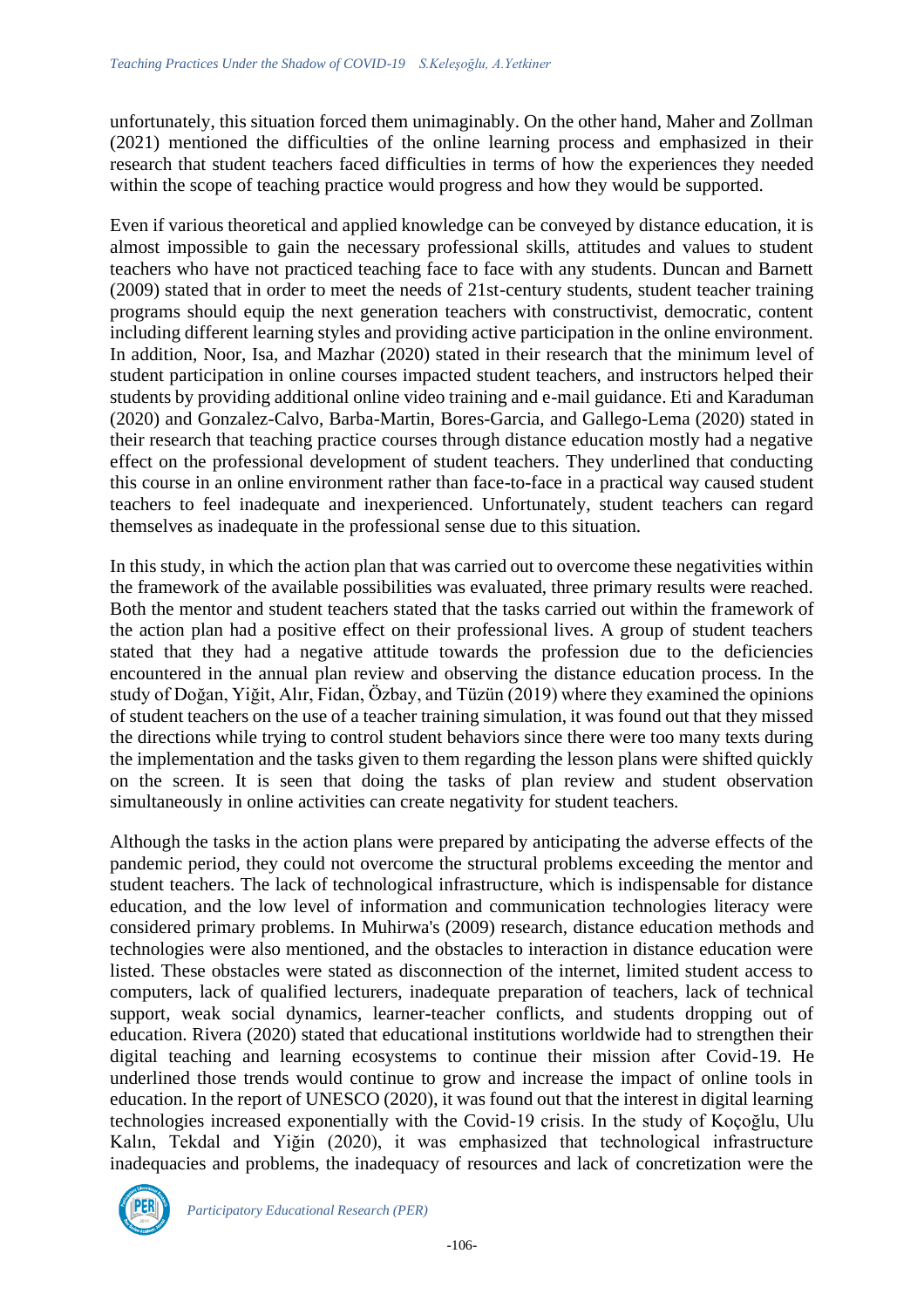unfortunately, this situation forced them unimaginably. On the other hand, Maher and Zollman (2021) mentioned the difficulties of the online learning process and emphasized in their research that student teachers faced difficulties in terms of how the experiences they needed within the scope of teaching practice would progress and how they would be supported.

Even if various theoretical and applied knowledge can be conveyed by distance education, it is almost impossible to gain the necessary professional skills, attitudes and values to student teachers who have not practiced teaching face to face with any students. Duncan and Barnett (2009) stated that in order to meet the needs of 21st-century students, student teacher training programs should equip the next generation teachers with constructivist, democratic, content including different learning styles and providing active participation in the online environment. In addition, Noor, Isa, and Mazhar (2020) stated in their research that the minimum level of student participation in online courses impacted student teachers, and instructors helped their students by providing additional online video training and e-mail guidance. Eti and Karaduman (2020) and Gonzalez-Calvo, Barba-Martin, Bores-Garcia, and Gallego-Lema (2020) stated in their research that teaching practice courses through distance education mostly had a negative effect on the professional development of student teachers. They underlined that conducting this course in an online environment rather than face-to-face in a practical way caused student teachers to feel inadequate and inexperienced. Unfortunately, student teachers can regard themselves as inadequate in the professional sense due to this situation.

In this study, in which the action plan that was carried out to overcome these negativities within the framework of the available possibilities was evaluated, three primary results were reached. Both the mentor and student teachers stated that the tasks carried out within the framework of the action plan had a positive effect on their professional lives. A group of student teachers stated that they had a negative attitude towards the profession due to the deficiencies encountered in the annual plan review and observing the distance education process. In the study of Doğan, Yiğit, Alır, Fidan, Özbay, and Tüzün (2019) where they examined the opinions of student teachers on the use of a teacher training simulation, it was found out that they missed the directions while trying to control student behaviors since there were too many texts during the implementation and the tasks given to them regarding the lesson plans were shifted quickly on the screen. It is seen that doing the tasks of plan review and student observation simultaneously in online activities can create negativity for student teachers.

Although the tasks in the action plans were prepared by anticipating the adverse effects of the pandemic period, they could not overcome the structural problems exceeding the mentor and student teachers. The lack of technological infrastructure, which is indispensable for distance education, and the low level of information and communication technologies literacy were considered primary problems. In Muhirwa's (2009) research, distance education methods and technologies were also mentioned, and the obstacles to interaction in distance education were listed. These obstacles were stated as disconnection of the internet, limited student access to computers, lack of qualified lecturers, inadequate preparation of teachers, lack of technical support, weak social dynamics, learner-teacher conflicts, and students dropping out of education. Rivera (2020) stated that educational institutions worldwide had to strengthen their digital teaching and learning ecosystems to continue their mission after Covid-19. He underlined those trends would continue to grow and increase the impact of online tools in education. In the report of UNESCO (2020), it was found out that the interest in digital learning technologies increased exponentially with the Covid-19 crisis. In the study of Koçoğlu, Ulu Kalın, Tekdal and Yiğin (2020), it was emphasized that technological infrastructure inadequacies and problems, the inadequacy of resources and lack of concretization were the

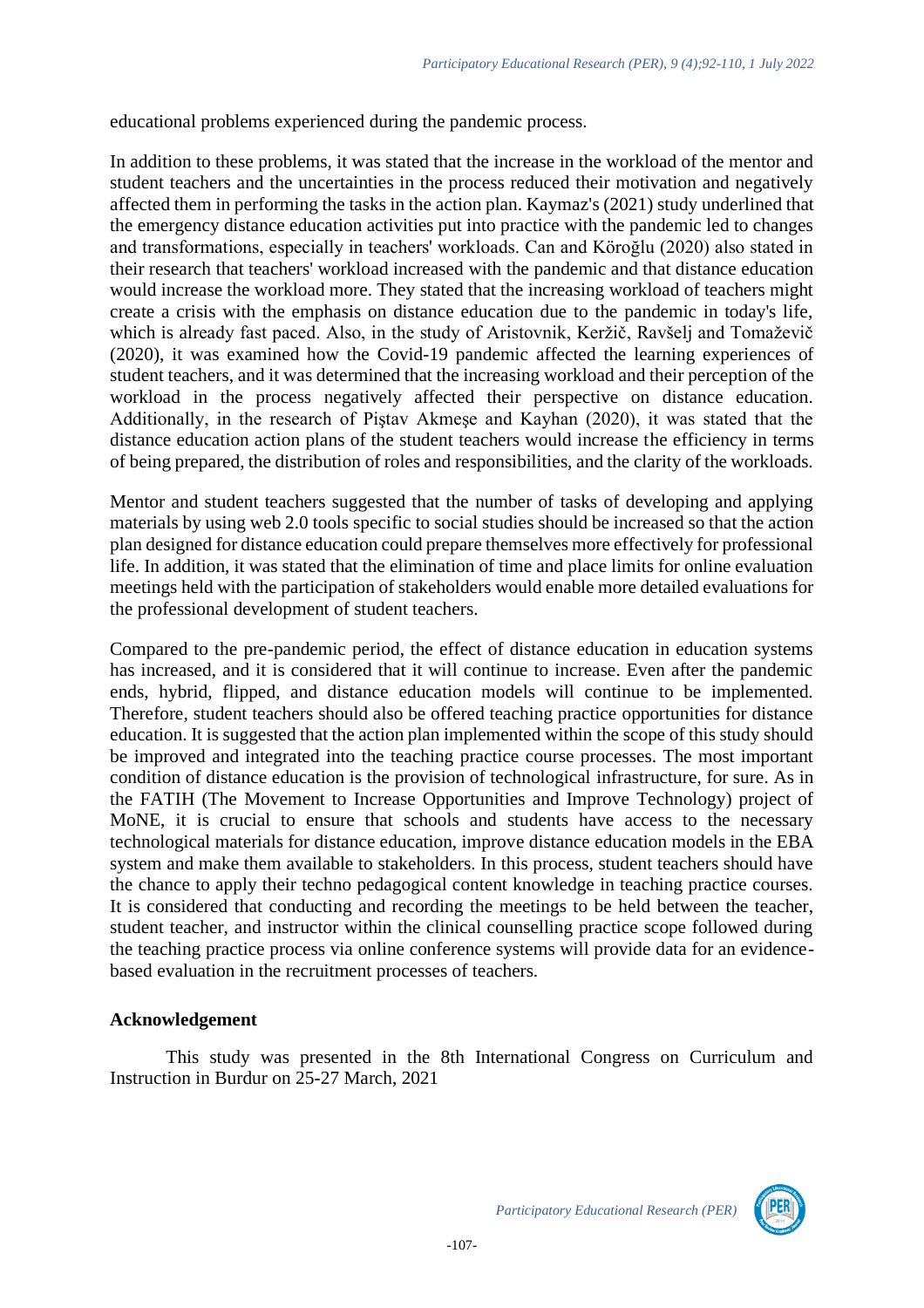educational problems experienced during the pandemic process.

In addition to these problems, it was stated that the increase in the workload of the mentor and student teachers and the uncertainties in the process reduced their motivation and negatively affected them in performing the tasks in the action plan. Kaymaz's (2021) study underlined that the emergency distance education activities put into practice with the pandemic led to changes and transformations, especially in teachers' workloads. Can and Köroğlu (2020) also stated in their research that teachers' workload increased with the pandemic and that distance education would increase the workload more. They stated that the increasing workload of teachers might create a crisis with the emphasis on distance education due to the pandemic in today's life, which is already fast paced. Also, in the study of Aristovnik, Keržič, Ravšelj and Tomaževič (2020), it was examined how the Covid-19 pandemic affected the learning experiences of student teachers, and it was determined that the increasing workload and their perception of the workload in the process negatively affected their perspective on distance education. Additionally, in the research of Piştav Akmeşe and Kayhan (2020), it was stated that the distance education action plans of the student teachers would increase the efficiency in terms of being prepared, the distribution of roles and responsibilities, and the clarity of the workloads.

Mentor and student teachers suggested that the number of tasks of developing and applying materials by using web 2.0 tools specific to social studies should be increased so that the action plan designed for distance education could prepare themselves more effectively for professional life. In addition, it was stated that the elimination of time and place limits for online evaluation meetings held with the participation of stakeholders would enable more detailed evaluations for the professional development of student teachers.

Compared to the pre-pandemic period, the effect of distance education in education systems has increased, and it is considered that it will continue to increase. Even after the pandemic ends, hybrid, flipped, and distance education models will continue to be implemented. Therefore, student teachers should also be offered teaching practice opportunities for distance education. It is suggested that the action plan implemented within the scope of this study should be improved and integrated into the teaching practice course processes. The most important condition of distance education is the provision of technological infrastructure, for sure. As in the FATIH (The Movement to Increase Opportunities and Improve Technology) project of MoNE, it is crucial to ensure that schools and students have access to the necessary technological materials for distance education, improve distance education models in the EBA system and make them available to stakeholders. In this process, student teachers should have the chance to apply their techno pedagogical content knowledge in teaching practice courses. It is considered that conducting and recording the meetings to be held between the teacher, student teacher, and instructor within the clinical counselling practice scope followed during the teaching practice process via online conference systems will provide data for an evidencebased evaluation in the recruitment processes of teachers.

### **Acknowledgement**

This study was presented in the 8th International Congress on Curriculum and Instruction in Burdur on 25-27 March, 2021

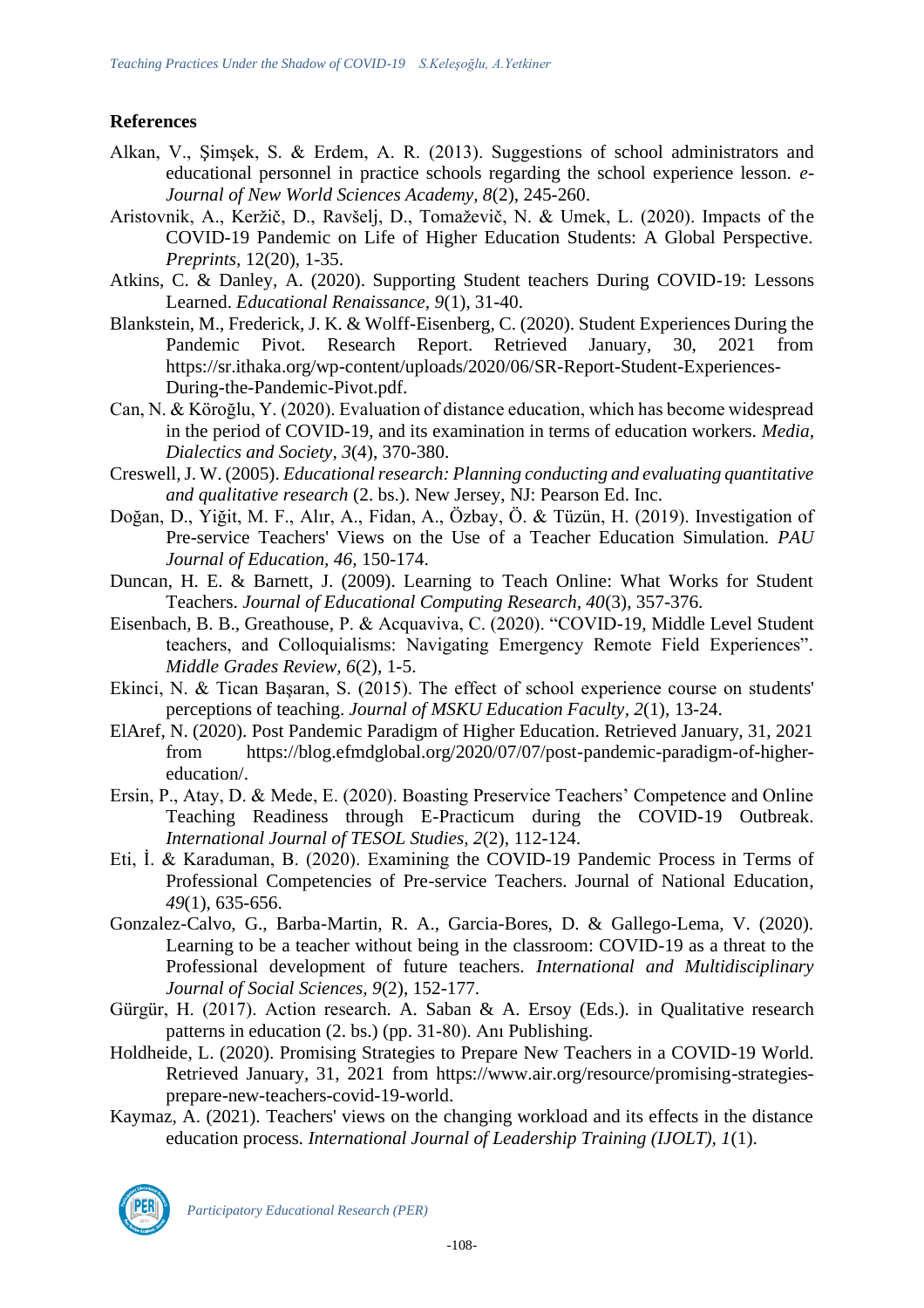## **References**

- Alkan, V., Şimşek, S. & Erdem, A. R. (2013). Suggestions of school administrators and educational personnel in practice schools regarding the school experience lesson. *e-Journal of New World Sciences Academy, 8*(2), 245-260.
- Aristovnik, A., Keržič, D., Ravšelj, D., Tomaževič, N. & Umek, L. (2020). Impacts of the COVID-19 Pandemic on Life of Higher Education Students: A Global Perspective. *Preprints,* 12(20), 1-35.
- Atkins, C. & Danley, A. (2020). Supporting Student teachers During COVID-19: Lessons Learned. *Educational Renaissance, 9*(1), 31-40.
- Blankstein, M., Frederick, J. K. & Wolff-Eisenberg, C. (2020). Student Experiences During the Pandemic Pivot. Research Report. Retrieved January, 30, 2021 from https://sr.ithaka.org/wp-content/uploads/2020/06/SR-Report-Student-Experiences-During-the-Pandemic-Pivot.pdf.
- Can, N. & Köroğlu, Y. (2020). Evaluation of distance education, which has become widespread in the period of COVID-19, and its examination in terms of education workers. *Media, Dialectics and Society, 3*(4), 370-380.
- Creswell, J. W. (2005). *Educational research: Planning conducting and evaluating quantitative and qualitative research* (2. bs.). New Jersey, NJ: Pearson Ed. Inc.
- Doğan, D., Yiğit, M. F., Alır, A., Fidan, A., Özbay, Ö. & Tüzün, H. (2019). Investigation of Pre-service Teachers' Views on the Use of a Teacher Education Simulation. *PAU Journal of Education, 46,* 150-174.
- Duncan, H. E. & Barnett, J. (2009). Learning to Teach Online: What Works for Student Teachers. *Journal of Educational Computing Research, 40*(3), 357-376.
- Eisenbach, B. B., Greathouse, P. & Acquaviva, C. (2020). "COVID-19, Middle Level Student teachers, and Colloquialisms: Navigating Emergency Remote Field Experiences". *Middle Grades Review, 6*(2), 1-5.
- Ekinci, N. & Tican Başaran, S. (2015). The effect of school experience course on students' perceptions of teaching. *Journal of MSKU Education Faculty, 2*(1), 13-24.
- ElAref, N. (2020). Post Pandemic Paradigm of Higher Education. Retrieved January, 31, 2021 from https://blog.efmdglobal.org/2020/07/07/post-pandemic-paradigm-of-highereducation/.
- Ersin, P., Atay, D. & Mede, E. (2020). Boasting Preservice Teachers' Competence and Online Teaching Readiness through E-Practicum during the COVID-19 Outbreak. *International Journal of TESOL Studies, 2*(2), 112-124.
- Eti, İ. & Karaduman, B. (2020). Examining the COVID-19 Pandemic Process in Terms of Professional Competencies of Pre-service Teachers. Journal of National Education*, 49*(1), 635-656.
- Gonzalez-Calvo, G., Barba-Martin, R. A., Garcia-Bores, D. & Gallego-Lema, V. (2020). Learning to be a teacher without being in the classroom: COVID-19 as a threat to the Professional development of future teachers. *International and Multidisciplinary Journal of Social Sciences, 9*(2), 152-177.
- Gürgür, H. (2017). Action research. A. Saban & A. Ersoy (Eds.). in Qualitative research patterns in education (2. bs.) (pp. 31-80). Anı Publishing.
- Holdheide, L. (2020). Promising Strategies to Prepare New Teachers in a COVID-19 World. Retrieved January, 31, 2021 from https://www.air.org/resource/promising-strategiesprepare-new-teachers-covid-19-world.
- Kaymaz, A. (2021). Teachers' views on the changing workload and its effects in the distance education process. *International Journal of Leadership Training (IJOLT), 1*(1).

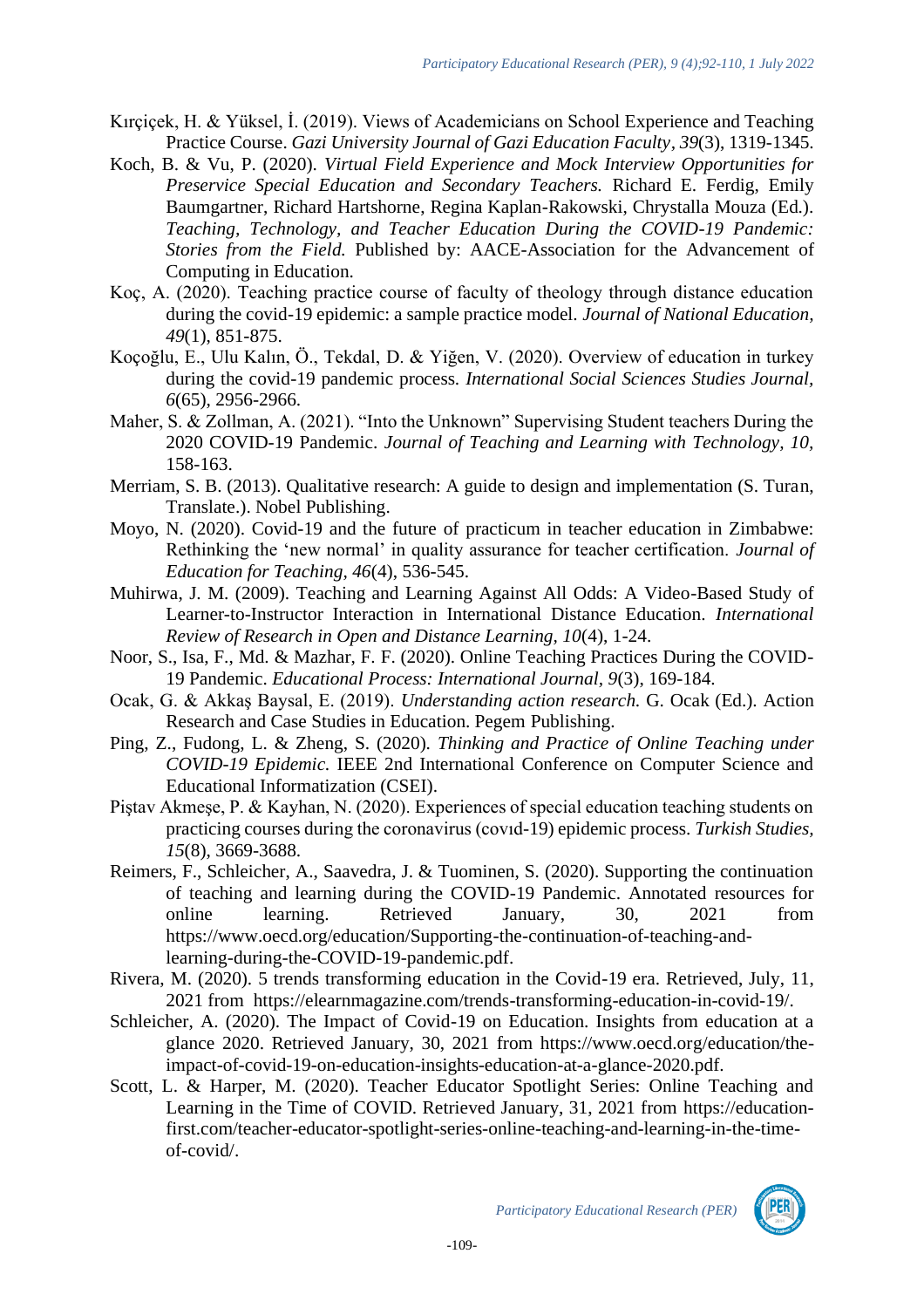- Kırçiçek, H. & Yüksel, İ. (2019). Views of Academicians on School Experience and Teaching Practice Course. *Gazi University Journal of Gazi Education Faculty, 39*(3), 1319-1345.
- Koch, B. & Vu, P. (2020). *Virtual Field Experience and Mock Interview Opportunities for Preservice Special Education and Secondary Teachers.* Richard E. Ferdig, Emily Baumgartner, Richard Hartshorne, Regina Kaplan-Rakowski, Chrystalla Mouza (Ed.). *Teaching, Technology, and Teacher Education During the COVID-19 Pandemic: Stories from the Field.* Published by: AACE-Association for the Advancement of Computing in Education.
- Koç, A. (2020). Teaching practice course of faculty of theology through distance education during the covid-19 epidemic: a sample practice model. *Journal of National Education, 49*(1), 851-875.
- Koçoğlu, E., Ulu Kalın, Ö., Tekdal, D. & Yiğen, V. (2020). Overview of education in turkey during the covid-19 pandemic process. *International Social Sciences Studies Journal, 6*(65), 2956-2966.
- Maher, S. & Zollman, A. (2021). "Into the Unknown" Supervising Student teachers During the 2020 COVID-19 Pandemic. *Journal of Teaching and Learning with Technology, 10,*  158-163.
- Merriam, S. B. (2013). Qualitative research: A guide to design and implementation (S. Turan, Translate.). Nobel Publishing.
- Moyo, N. (2020). Covid-19 and the future of practicum in teacher education in Zimbabwe: Rethinking the 'new normal' in quality assurance for teacher certification. *Journal of Education for Teaching, 46*(4), 536-545.
- Muhirwa, J. M. (2009). Teaching and Learning Against All Odds: A Video-Based Study of Learner-to-Instructor Interaction in International Distance Education. *International Review of Research in Open and Distance Learning, 10*(4), 1-24.
- Noor, S., Isa, F., Md. & Mazhar, F. F. (2020). Online Teaching Practices During the COVID-19 Pandemic. *Educational Process: International Journal, 9*(3), 169-184.
- Ocak, G. & Akkaş Baysal, E. (2019). *Understanding action research.* G. Ocak (Ed.). Action Research and Case Studies in Education. Pegem Publishing.
- Ping, Z., Fudong, L. & Zheng, S. (2020). *Thinking and Practice of Online Teaching under COVID-19 Epidemic.* IEEE 2nd International Conference on Computer Science and Educational Informatization (CSEI).
- Piştav Akmeşe, P. & Kayhan, N. (2020). Experiences of special education teaching students on practicing courses during the coronavirus (covıd-19) epidemic process. *Turkish Studies, 15*(8), 3669-3688.
- Reimers, F., Schleicher, A., Saavedra, J. & Tuominen, S. (2020). Supporting the continuation of teaching and learning during the COVID-19 Pandemic. Annotated resources for online learning. Retrieved January, 30, 2021 from https://www.oecd.org/education/Supporting-the-continuation-of-teaching-andlearning-during-the-COVID-19-pandemic.pdf.
- Rivera, M. (2020). 5 trends transforming education in the Covid-19 era. Retrieved, July, 11, 2021 from https://elearnmagazine.com/trends-transforming-education-in-covid-19/.
- Schleicher, A. (2020). The Impact of Covid-19 on Education. Insights from education at a glance 2020. Retrieved January, 30, 2021 from https://www.oecd.org/education/theimpact-of-covid-19-on-education-insights-education-at-a-glance-2020.pdf.
- Scott, L. & Harper, M. (2020). Teacher Educator Spotlight Series: Online Teaching and Learning in the Time of COVID. Retrieved January, 31, 2021 from https://educationfirst.com/teacher-educator-spotlight-series-online-teaching-and-learning-in-the-timeof-covid/.